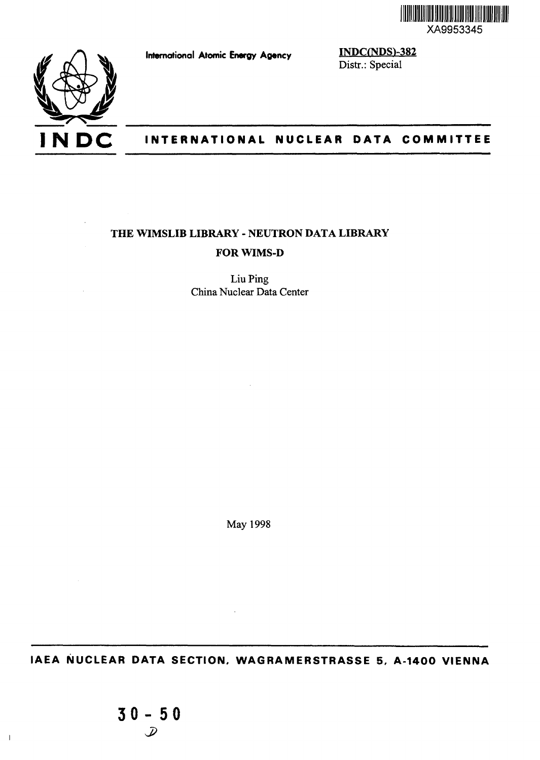

**International Atomic Energy Agency**

**INDC(NDS)-382** Distr.: Special



# **I N DC INTERNATIONAL NUCLEAR DATA COMMITTEE**

# **THE WIMSLIB LIBRARY - NEUTRON DATA LIBRARY FORWIMS-D**

Liu Ping China Nuclear Data Center

May 1998

**IAEA NUCLEAR DATA SECTION, WAGRAMERSTRASSE 5, A-1400 VIENNA**

 $\overline{\phantom{a}}$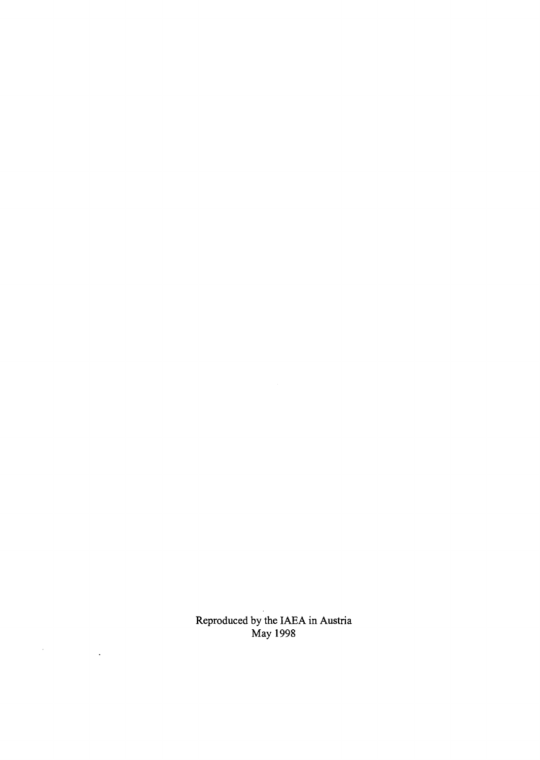Reproduced by the IAEA in Austria May 1998

 $\label{eq:2.1} \frac{1}{\sqrt{2}}\int_{\mathbb{R}^3}\frac{d\mu}{\mu} \left(\frac{d\mu}{\mu}\right)^2\frac{d\mu}{\mu} \left(\frac{d\mu}{\mu}\right)^2\frac{d\mu}{\mu} \left(\frac{d\mu}{\mu}\right)^2\frac{d\mu}{\mu} \left(\frac{d\mu}{\mu}\right)^2.$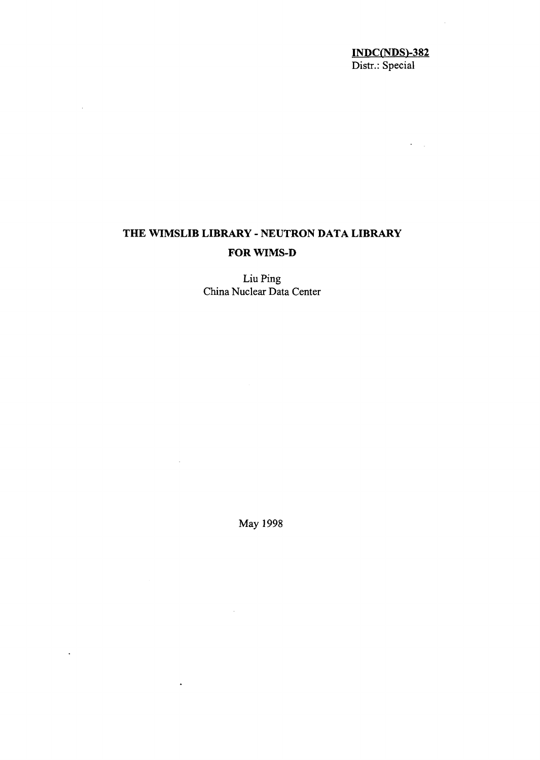### <u>INDC(NDS)-382</u> Distr.: Special

 $\bar{\omega}$  $\mathcal{L}_{\mathcal{A}}$   $\sim$ 

# **THE WIMSLIB LIBRARY - NEUTRON DATA LIBRARY FOR WIMS-D**

 $\mathcal{A}^{\mathcal{A}}$ 

 $\ddot{\phantom{a}}$ 

Liu Ping China Nuclear Data Center

May 1998

 $\sim$ 

 $\hat{\boldsymbol{\lambda}}$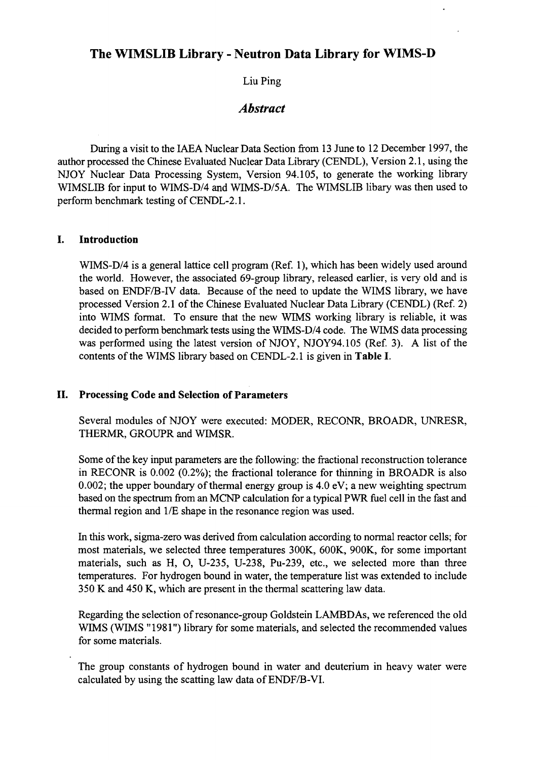## The WIMSLIB Library - Neutron Data Library for WIMS-D

Liu Ping

## *Abstract*

During a visit to the IAEA Nuclear Data Section from 13 June to 12 December 1997, the author processed the Chinese Evaluated Nuclear Data Library (CENDL), Version 2.1, using the NJOY Nuclear Data Processing System, Version 94.105, to generate the working library WIMSLIB for input to WIMS-D/4 and WIMS-D/5A. The WIMSLIB libary was then used to perform benchmark testing of CENDL-2.1.

### **I. Introduction**

WIMS-D/4 is a general lattice cell program (Ref. 1), which has been widely used around the world. However, the associated 69-group library, released earlier, is very old and is based on ENDF/B-IV data. Because of the need to update the WIMS library, we have processed Version 2.1 of the Chinese Evaluated Nuclear Data Library (CENDL) (Ref. 2) into WIMS format. To ensure that the new WIMS working library is reliable, it was decided to perform benchmark tests using the WIMS-D/4 code. The WIMS data processing was performed using the latest version of NJOY, NJOY94.105 (Ref. 3). A list of the contents of the WIMS library based on CENDL-2.1 is given in **Table I.**

### **II. Processing Code and Selection of Parameters**

Several modules of NJOY were executed: MODER, RECONR, BROADR, UNRESR, THERMR, GROUPR and WTMSR.

Some of the key input parameters are the following: the fractional reconstruction tolerance in RECONR is 0.002 (0.2%); the fractional tolerance for thinning in BROADR is also 0.002; the upper boundary of thermal energy group is 4.0 eV; a new weighting spectrum based on the spectrum from an MCNP calculation for a typical PWR fuel cell in the fast and thermal region and 1/E shape in the resonance region was used.

In this work, sigma-zero was derived from calculation according to normal reactor cells; for most materials, we selected three temperatures 300K, 600K, 900K, for some important materials, such as H, O, U-235, U-238, Pu-239, etc., we selected more than three temperatures. For hydrogen bound in water, the temperature list was extended to include 350 K and 450 K, which are present in the thermal scattering law data.

Regarding the selection of resonance-group Goldstein LAMBDAs, we referenced the old WIMS (WIMS "1981") library for some materials, and selected the recommended values for some materials.

The group constants of hydrogen bound in water and deuterium in heavy water were calculated by using the scatting law data of ENDF/B-VI.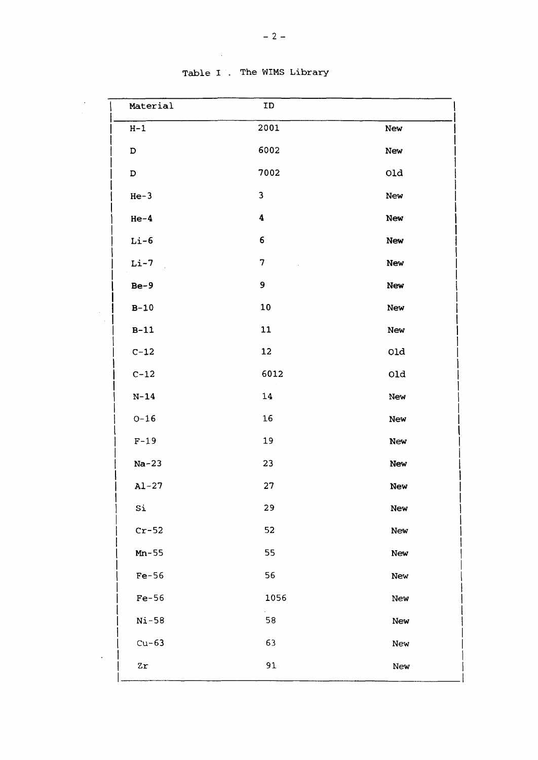| Material    | ID                       |                 |
|-------------|--------------------------|-----------------|
| $H-1$       | 2001                     | New             |
| $\mathbf D$ | 6002                     | New             |
| $\mathbf D$ | 7002                     | Q1d             |
| $He-3$      | $\overline{\mathbf{3}}$  | New             |
| $He-4$      | 4                        | New             |
| $Li-6$      | 6                        | New             |
| $Li-7$      | $\overline{\mathcal{U}}$ | <b>New</b>      |
| $Be-9$      | 9                        | New             |
| $B-10$      | 10                       | New             |
| $B-11$      | 11                       | New             |
| $C-12$      | 12                       | 0ld             |
| $C-12$      | 6012                     | $_{\text{old}}$ |
| $N-14$      | 14                       | New             |
| $O-16$      | 16                       | New             |
| $F-19$      | 19                       | New             |
| $Na-23$     | 23                       | New             |
| $Al-27$     | 27                       | <b>New</b>      |
| Si          | 29                       | New             |
| $Cr-52$     | 52                       | New             |
| $Mn-55$     | 55                       | New             |
| $Fe-56$     | 56                       | New             |
| $Fe-56$     | 1056                     | New             |
| $Ni-58$     | 58                       | New             |
| $Cu-63$     | 63                       | New             |
| $z_{r}$     | 91                       | New             |

Table I . The WIMS Library

 $\mathcal{L}_{\text{max}}$ 

 $\ddot{\phantom{0}}$ 

 $\label{eq:2} \frac{1}{\sqrt{2}}\frac{1}{\sqrt{2}}\frac{1}{\sqrt{2}}\frac{1}{\sqrt{2}}\frac{1}{\sqrt{2}}\frac{1}{\sqrt{2}}\frac{1}{\sqrt{2}}\frac{1}{\sqrt{2}}\frac{1}{\sqrt{2}}\frac{1}{\sqrt{2}}\frac{1}{\sqrt{2}}\frac{1}{\sqrt{2}}\frac{1}{\sqrt{2}}\frac{1}{\sqrt{2}}\frac{1}{\sqrt{2}}\frac{1}{\sqrt{2}}\frac{1}{\sqrt{2}}\frac{1}{\sqrt{2}}\frac{1}{\sqrt{2}}\frac{1}{\sqrt{2}}\frac{1}{\sqrt{2}}\frac{$ 

 $\sim$   $\sim$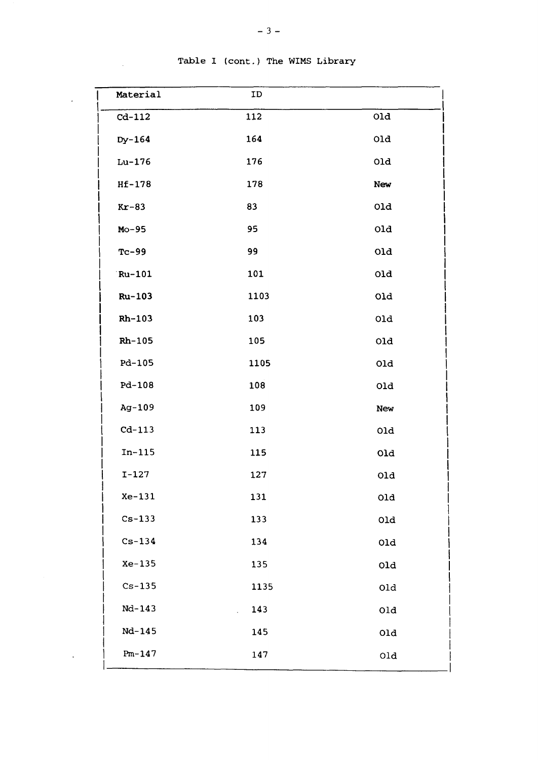| Material   | ID   |              |
|------------|------|--------------|
| $Cd-112$   | 112  | 01d          |
| Dy-164     | 164  | 0ld          |
| $Lu-176$   | 176  | 0ld          |
| $Hf-178$   | 178  | New          |
| $Kr-83$    | 83   | 01d          |
| $Mo-95$    | 95   | 0ld          |
| $Tc-99$    | 99   | 0ld          |
| Ru-101     | 101  | 0ld          |
| Ru-103     | 1103 | 0ld          |
| Rh-103     | 103  | 0ld          |
| $Rh-105$   | 105  | 0ld          |
| Pd-105     | 1105 | 0ld          |
| $Pd - 108$ | 108  | 0ld          |
| Ag-109     | 109  | New          |
| $Cd-113$   | 113  | 0ld          |
| $In-115$   | 115  | 0ld          |
| $I-127$    | 127  | 01d          |
| $Xe-131$   | 131  | 0ld          |
| $Cs-133$   | 133  | $_{\rm O1d}$ |
| $Cs-134$   | 134  | 0ld          |
| $Xe-135$   | 135  | 0ld          |
| $Cs - 135$ | 1135 | 0ld          |
| Nd-143     | 143  | 0ld          |
| Nd-145     | 145  | 01d          |
| $Pm-147$   | 147  | 0ld          |
|            |      |              |

Table I (cont.) The WIMS Library

 $\sim 10^7$ 

 $\hat{\textbf{z}}$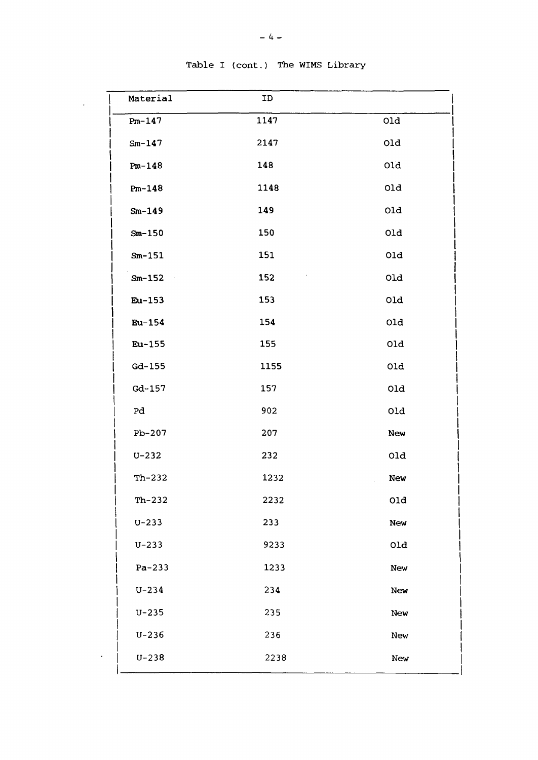| Material   | ID   |     |
|------------|------|-----|
| $Pm-147$   | 1147 | 0ld |
| $Sm-147$   | 2147 | 0ld |
| $Pm-148$   | 148  | old |
| $Pm-148$   | 1148 | 0ld |
| $Sm-149$   | 149  | Old |
| $Sm-150$   | 150  | 0ld |
| $Sm-151$   | 151  | 0ld |
| $Sm-152$   | 152  | 01d |
| Eu-153     | 153  | 01d |
| Eu-154     | 154  | 0ld |
| Eu-155     | 155  | 01d |
| Gd-155     | 1155 | 0ld |
| $Gd - 157$ | 157  | Old |
| Pd         | 902  | 0ld |
| $Pb-207$   | 207  | New |
| $U - 232$  | 232  | 0ld |
| $Th-232$   | 1232 | New |
| $Th-232$   | 2232 | 0ld |
| $U - 233$  | 233  | New |
| $U - 233$  | 9233 | 0ld |
| $Pa-233$   | 1233 | New |
| $U - 234$  | 234  | New |
| $U - 235$  | 235  | New |
| $U - 236$  | 236  | New |
| $U - 238$  | 2238 | New |
|            |      |     |

Table I (cont.) The WIMS Library

 $\overline{1}$ 

 $\ddot{\phantom{a}}$ 

 $\overline{a}$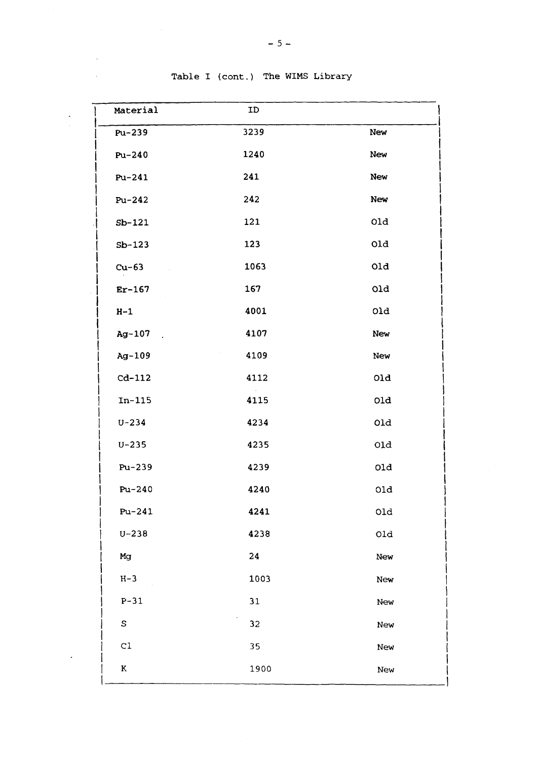| Material      | ID   |              |
|---------------|------|--------------|
| Pu-239        | 3239 | New          |
| Pu-240        | 1240 | New          |
| Pu-241        | 241  | New          |
| Pu-242        | 242  | New          |
| $Sb-121$      | 121  | 01d          |
| $Sb-123$      | 123  | 01d          |
| $Cu-63$       | 1063 | 01d          |
| $Er-167$      | 167  | 01d          |
| $H-1$         | 4001 | 0ld          |
| Ag-107        | 4107 | New          |
| Ag-109        | 4109 | New          |
| $cd-112$      | 4112 | 01d          |
| $In-115$      | 4115 | 01d          |
| $U - 234$     | 4234 | 0ld          |
| $U - 235$     | 4235 | 01d          |
| Pu-239        | 4239 | 0ld          |
| $Pu-240$      | 4240 | 01d          |
| $Pu-241$      | 4241 | $_{\rm old}$ |
| $U - 238$     | 4238 | 0ld          |
| Mg            | 24   | New          |
| $H-3$         | 1003 | New          |
| $P-31$        | 31   | New          |
| S             | 32   | New          |
| $\mathtt{C}1$ | 35   | New          |
| ${\bf K}$     | 1900 | New          |

### Table I (cont.) The WIMS Library

 $\bar{A}$  $\mathcal{L}^{\mathcal{L}}$ 

 $\bar{z}$ 

 $\bar{\phantom{a}}$ 

 $\ddot{\phantom{0}}$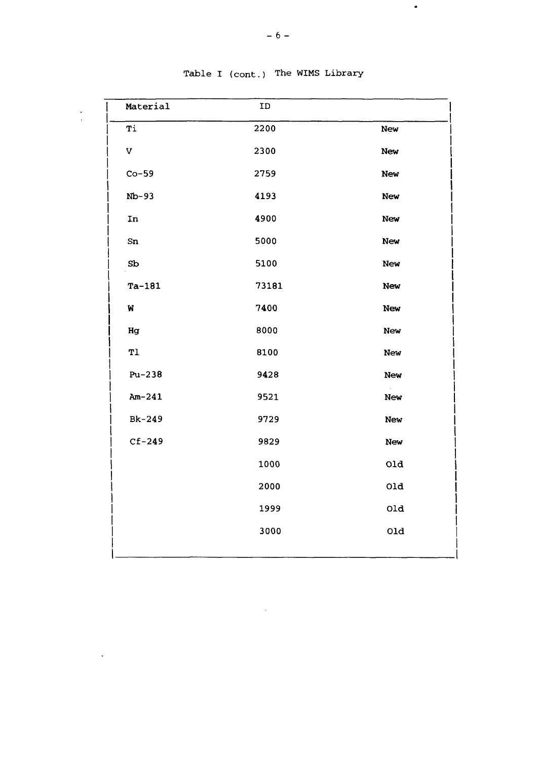| Material       | ID    |            |
|----------------|-------|------------|
| Ti             | 2200  | New        |
| $\mathbf V$    | 2300  | New        |
| $Co-59$        | 2759  | <b>New</b> |
| $Nb-93$        | 4193  | <b>New</b> |
| In             | 4900  | New        |
| Sn             | 5000  | <b>New</b> |
| S <sub>b</sub> | 5100  | New        |
| $Ta-181$       | 73181 | <b>New</b> |
| W              | 7400  | <b>New</b> |
| Hg             | 8000  | New        |
| T1             | 8100  | New        |
| $Pu-238$       | 9428  | New        |
| $Am-241$       | 9521  | New        |
| Bk-249         | 9729  | New        |
| $Cf-249$       | 9829  | New        |
|                | 1000  | 01d        |
|                | 2000  | 01d        |
|                | 1999  | 01d        |
|                | 3000  | Old        |

 $\mathcal{L}_{\mathcal{A}}$ 

Table I (cont.) The WIMS Library

 $\frac{1}{2}$ 

 $\ddot{\phantom{a}}$ 

 $\bullet$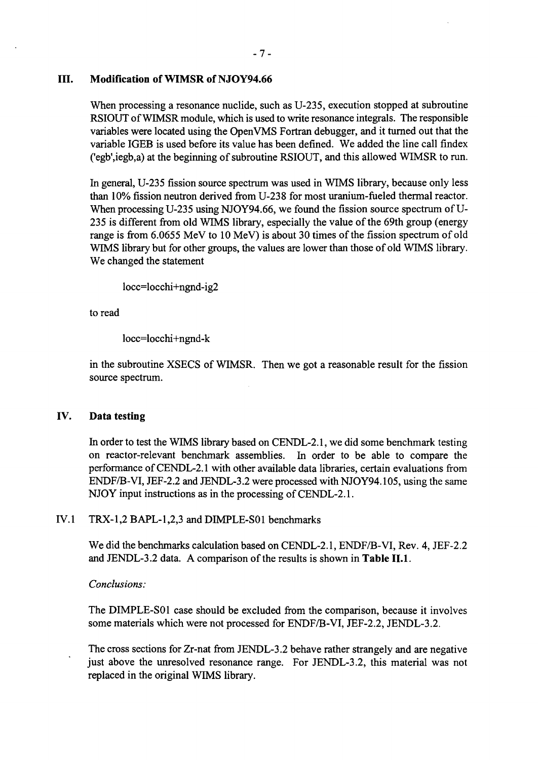### **III. Modification of WIMSR of NJOY94.66**

When processing a resonance nuclide, such as U-235, execution stopped at subroutine RSIOUT of WIMSR module, which is used to write resonance integrals. The responsible variables were located using the Open VMS Fortran debugger, and it turned out that the variable IGEB is used before its value has been defined. We added the line call findex ('egb',iegb,a) at the beginning of subroutine RSIOUT, and this allowed WIMSR to run.

In general, U-235 fission source spectrum was used in WIMS library, because only less than 10% fission neutron derived from U-238 for most uranium-fueled thermal reactor. When processing U-235 using NJOY94.66, we found the fission source spectrum of U-235 is different from old WIMS library, especially the value of the 69th group (energy range is from 6.0655 MeV to 10 MeV) is about 30 times of the fission spectrum of old WIMS library but for other groups, the values are lower than those of old WIMS library. We changed the statement

Iocc=locchi+ngnd-ig2

to read

locc=locchi+ngnd-k

in the subroutine XSECS of WIMSR. Then we got a reasonable result for the fission source spectrum.

### **IV. Data testing**

In order to test the WIMS library based on CENDL-2.1, we did some benchmark testing on reactor-relevant benchmark assemblies. In order to be able to compare the performance of CENDL-2.1 with other available data libraries, certain evaluations from ENDF/B-VI, JEF-2.2 and JENDL-3.2 were processed with NJOY94.105, using the same NJOY input instructions as in the processing of CENDL-2.1.

### IV.l TRX-1,2 BAPL-1,2,3 and DIMPLE-S01 benchmarks

We did the benchmarks calculation based on CENDL-2.1, ENDF/B-VI, Rev. 4, JEF-2.2 and JENDL-3.2 data. A comparison of the results is shown in **Table II. 1.**

### *Conclusions:*

The DIMPLE-S01 case should be excluded from the comparison, because it involves some materials which were not processed for ENDF/B-VI, JEF-2.2, JENDL-3.2.

The cross sections for Zr-nat from JENDL-3.2 behave rather strangely and are negative just above the unresolved resonance range. For JENDL-3.2, this material was not replaced in the original WIMS library.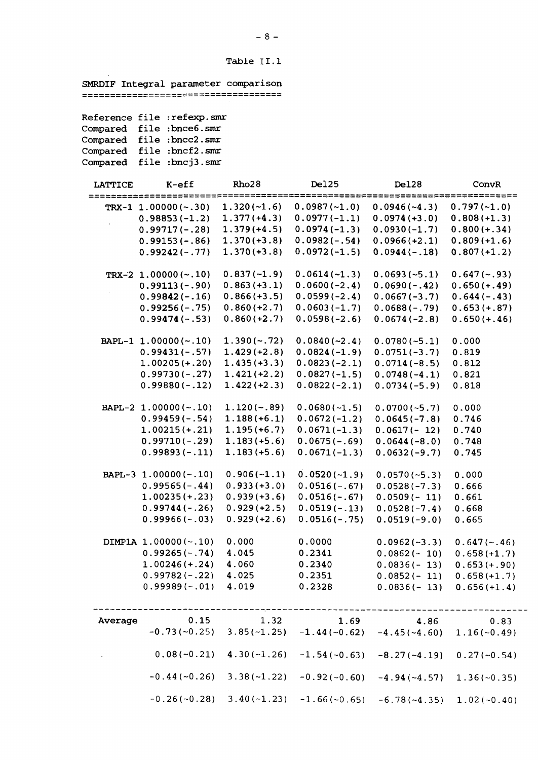**Table** II. **1**

**SMRDIF Integral parameter comparison**

**Reference file :refexp.smr Compared file :bnce6.smr Compared file :bncc2.smr Compared file :bncf2.smr Compared file :bncj3.smr**

 $\sim$ 

| <b>LATTICE</b> | $K$ -eff               | Rho <sub>28</sub> | <b>Del25</b>   | Del28                                                                    | ConvR          |
|----------------|------------------------|-------------------|----------------|--------------------------------------------------------------------------|----------------|
|                | TRX-1 $1.00000(-.30)$  | $1.320(-1.6)$     | $0.0987(-1.0)$ | $0.0946(-4.3)$                                                           | $0.797(-1.0)$  |
|                | $0.98853(-1.2)$        | $1.377(+4.3)$     | $0.0977(-1.1)$ | $0.0974 (+3.0)$                                                          | $0.808(+1.3)$  |
|                | $0.99717(-.28)$        | $1.379(+4.5)$     | $0.0974(-1.3)$ | $0.0930(-1.7)$                                                           | $0.800 (+.34)$ |
|                | $0.99153(-.86)$        | $1.370(+3.8)$     | $0.0982(-.54)$ | $0.0966(+2.1)$                                                           | $0.809(+1.6)$  |
|                | $0.99242(-.77)$        | $1.370(+3.8)$     | $0.0972(-1.5)$ | $0.0944(-.18)$                                                           | $0.807(+1.2)$  |
|                | TRX-2 $1.00000(-.10)$  | $0.837(-1.9)$     | $0.0614(-1.3)$ | $0.0693(-5.1)$                                                           | $0.647(-.93)$  |
|                | $0.99113(-.90)$        | $0.863(+3.1)$     | $0.0600(-2.4)$ | $0.0690(-.42)$                                                           | $0.650 (+.49)$ |
|                | $0.99842(-.16)$        | $0.866(+3.5)$     | $0.0599(-2.4)$ | $0.0667(-3.7)$                                                           | $0.644(-.43)$  |
|                | $0.99256(-.75)$        | $0.860 (+2.7)$    | $0.0603(-1.7)$ | $0.0688(-.79)$                                                           | $0.653 (+.87)$ |
|                | $0.99474(-.53)$        | $0.860 (+2.7)$    | $0.0598(-2.6)$ | $0.0674(-2.8)$                                                           | $0.650 (+.46)$ |
|                | BAPL-1 1.00000(~.10)   | $1.390(-.72)$     | $0.0840(-2.4)$ | $0.0780(-5.1)$                                                           | 0.000          |
|                | $0.99431(-.57)$        | $1.429(+2.8)$     | $0.0824(-1.9)$ | $0.0751(-3.7)$                                                           | 0.819          |
|                | $1.00205 (+.20)$       | $1.435(+3.3)$     | $0.0823(-2.1)$ | $0.0714(-8.5)$                                                           | 0.812          |
|                | $0.99730(-.27)$        | $1.421(+2.2)$     | $0.0827(-1.5)$ | $0.0748(-4.1)$                                                           | 0.821          |
|                | $0.99880(-.12)$        | $1.422(+2.3)$     | $0.0822(-2.1)$ | $0.0734(-5.9)$                                                           | 0.818          |
|                | BAPL-2 1.00000(~.10)   | $1.120(-.89)$     | $0.0680(-1.5)$ | $0.0700(-5.7)$                                                           | 0.000          |
|                | $0.99459(-.54)$        | $1.188(+6.1)$     | $0.0672(-1.2)$ | $0.0645(-7.8)$                                                           | 0.746          |
|                | $1.00215 (+.21)$       | $1.195(+6.7)$     | $0.0671(-1.3)$ | $0.0617(-12)$                                                            | 0.740          |
|                | $0.99710(-.29)$        | $1.183(+5.6)$     | $0.0675(-.69)$ | $0.0644(-8.0)$                                                           | 0.748          |
|                | $0.99893(-.11)$        | $1.183(+5.6)$     | $0.0671(-1.3)$ | $0.0632(-9.7)$                                                           | 0.745          |
|                | BAPL-3 1.00000(~.10)   | $0.906(-1.1)$     | $0.0520(-1.9)$ | $0.0570(-5.3)$                                                           | 0.000          |
|                | $0.99565(-.44)$        | $0.933(+3.0)$     | $0.0516(-.67)$ | $0.0528(-7.3)$                                                           | 0.666          |
|                | $1.00235 (+.23)$       | $0.939 (+3.6)$    | $0.0516(-.67)$ | $0.0509(-11)$                                                            | 0.661          |
|                | $0.99744(-.26)$        | $0.929 (+2.5)$    | $0.0519(-.13)$ | $0.0528(-7.4)$                                                           | 0.668          |
|                | $0.99966(-.03)$        | $0.929 (+2.6)$    | $0.0516(-.75)$ | $0.0519(-9.0)$                                                           | 0.665          |
|                | DIMP1A $1.00000(-.10)$ | 0.000             | 0.0000         | $0.0962(-3.3)$                                                           | $0.647(-.46)$  |
|                | $0.99265(-.74)$        | 4.045             | 0.2341         | $0.0862(-10)$                                                            | $0.658(+1.7)$  |
|                | $1.00246 (+.24)$       | 4.060             | 0.2340         | $0.0836(-13)$                                                            | $0.653(+.90)$  |
|                | $0.99782(-.22)$        | 4.025             | 0.2351         | $0.0852(-11)$                                                            | $0.658(+1.7)$  |
|                | $0.99989(-.01)$ 4.019  |                   | 0.2328         | $0.0836(-13)$ $0.656(+1.4)$                                              |                |
|                |                        |                   |                |                                                                          |                |
| Average        | 0.15                   | 1.32              | 1.69           | 4.86                                                                     | 0.83           |
|                |                        |                   |                | $-0.73(-0.25)$ $3.85(-1.25)$ $-1.44(-0.62)$ $-4.45(-4.60)$ $1.16(-0.49)$ |                |
|                | $0.08(-0.21)$          | $4.30(-1.26)$     |                | $-1.54(-0.63) -8.27(-4.19)$                                              | $0.27(-0.54)$  |
|                | $-0.44(-0.26)$         | $3.38(-1.22)$     |                | $-0.92(-0.60)$ $-4.94(-4.57)$                                            | $1.36(-0.35)$  |
|                | $-0.26(-0.28)$         | $3.40(-1.23)$     |                | $-1.66(-0.65) -6.78(-4.35)$ 1.02(~0.40)                                  |                |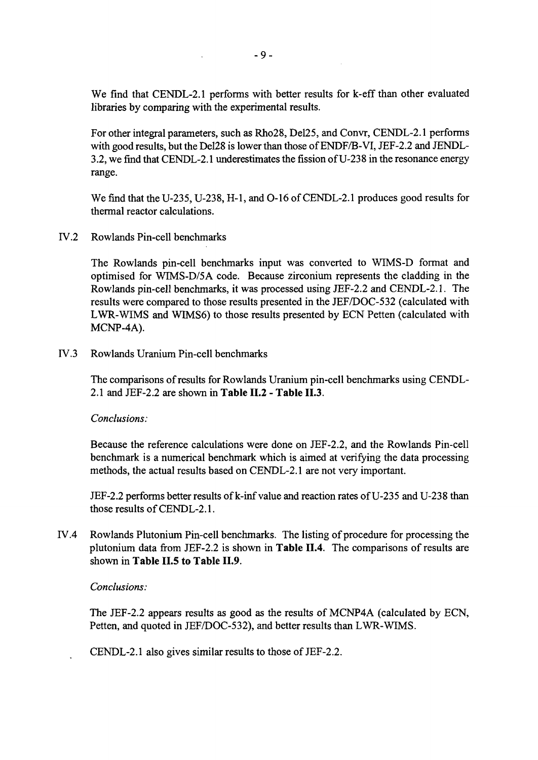We find that CENDL-2.1 performs with better results for k-eff than other evaluated libraries by comparing with the experimental results.

For other integral parameters, such as Rho28, Del25, and Convr, CENDL-2.1 performs with good results, but the Del28 is lower than those of ENDF/B-VI, JEF-2.2 and JENDL-3.2, we find that CENDL-2.1 underestimates the fission of U-238 in the resonance energy range.

We find that the U-235, U-238, H-l, and 0-16 of CENDL-2.1 produces good results for thermal reactor calculations.

IV.2 Rowlands Pin-cell benchmarks

The Rowlands pin-cell benchmarks input was converted to WIMS-D format and optimised for WTMS-D/5A code. Because zirconium represents the cladding in the Rowlands pin-cell benchmarks, it was processed using JEF-2.2 and CENDL-2.1. The results were compared to those results presented in the JEF/DOC-532 (calculated with LWR-WIMS and WIMS6) to those results presented by ECN Petten (calculated with MCNP-4A).

IV.3 Rowlands Uranium Pin-cell benchmarks

The comparisons of results for Rowlands Uranium pin-cell benchmarks using CENDL-2.1 and JEF-2.2 are shown in **Table II.2 - Table II.3.**

#### *Conclusions:*

Because the reference calculations were done on JEF-2.2, and the Rowlands Pin-cell benchmark is a numerical benchmark which is aimed at verifying the data processing methods, the actual results based on CENDL-2.1 are not very important.

JEF-2.2 performs better results of k-inf value and reaction rates of U-235 and U-238 than those results of CENDL-2.1.

IV.4 Rowlands Plutonium Pin-cell benchmarks. The listing of procedure for processing the plutonium data from JEF-2.2 is shown in **Table II.4.** The comparisons of results are shown in **Table II.5 to Table II.9.**

#### *Conclusions:*

The JEF-2.2 appears results as good as the results of MCNP4A (calculated by ECN, Petten, and quoted in JEF/DOC-532), and better results than LWR-WIMS.

CENDL-2.1 also gives similar results to those of JEF-2.2.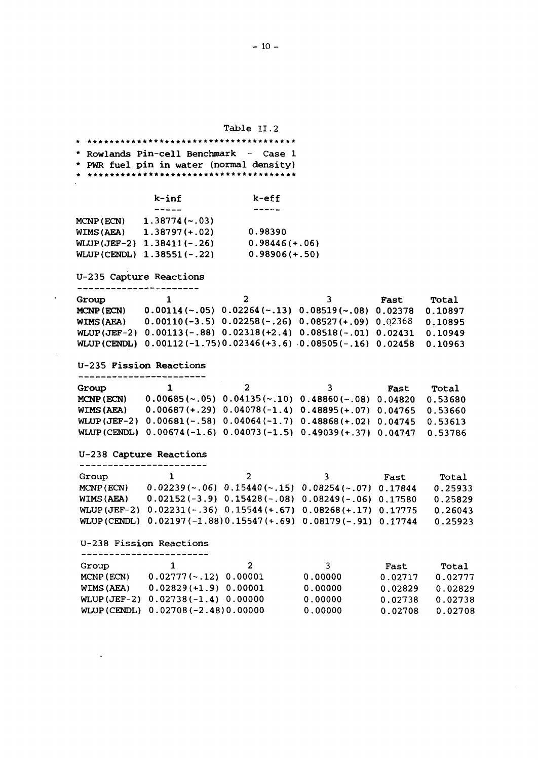Table II.2

\*\*\*\*\* \* i r\*\*\*\*\*\*\*\*\*\*\*\*\*\*\*\*\*\*\*\*\* \* \* Rowlands Pin-cell Benchmark - Case 1 \* PWR fuel pin in water (normal density) **k-inf** k-eff  $\frac{1}{2}$ **MCNP(ECN) 1.38774(-.03) WIMS(AEA) 1.38797(+.02) 0.98390** WLUP(JEF-2) 1.38411(-.26) **0.98446(+.06)**

**U-235 Capture Reactions** -----------------------

 $\bullet$ 

**WLUP(CENDL) 1.38551(-.22)**

 $\overline{\mathbf{1}}$  $\overline{2}$ **3 Fast Total Group MCNP(ECN) 0.00114(~.05) 0.02264(-.13) 0.08519(~.08) 0.02378 0.10897 WIMS(AEA) 0.00110(-3.5) 0.02258(-.26) 0.08527(+.09)** 0.02368 **0.10895 WLUP(JEF-2) 0.00113(-.88) 0.02318(+2.4) 0.08518(-.01) 0.02431 0.10949 WLUP(CENDL) 0.00112(-1.75)0.02346(+3.6) 0.08505(-.16) 0.02458 0.10963**

**0.98906(+.5O)**

**U-235 Fission Reactions**

| Group      |                                                                           |                                                                      | 3 | Fast | Total |
|------------|---------------------------------------------------------------------------|----------------------------------------------------------------------|---|------|-------|
| MCNP (ECN) |                                                                           | $0.00685$ (~.05) $0.04135$ (~.10) $0.48860$ (~.08) $0.04820$ 0.53680 |   |      |       |
| WIMS (AEA) | $0.00687$ (+.29) $0.04078$ (-1.4) $0.48895$ (+.07) $0.04765$ 0.53660      |                                                                      |   |      |       |
|            | WLUP(JEF-2) 0.00681(-.58) 0.04064(-1.7) 0.48868(+.02) 0.04745 0.53613     |                                                                      |   |      |       |
|            | WLUP (CENDL) 0.00674 (-1.6) 0.04073 (-1.5) 0.49039 (+.37) 0.04747 0.53786 |                                                                      |   |      |       |

U-238 **Capture Reactions**

| Group             | $\mathbf{1}$ | 2.                                                               | ્વ | Fast | Total   |
|-------------------|--------------|------------------------------------------------------------------|----|------|---------|
| MCNP (ECN)        |              | $0.02239$ (~.06) $0.15440$ (~.15) $0.08254$ (~.07) $0.17844$     |    |      | 0.25933 |
| <b>WIMS (AEA)</b> |              | $0.02152(-3.9)$ $0.15428(-.08)$ $0.08249(-.06)$ $0.17580$        |    |      | 0.25829 |
|                   |              | WLUP(JEF-2) 0.02231(-.36) 0.15544(+.67) 0.08268(+.17) 0.17775    |    |      | 0.26043 |
|                   |              | WLUP (CENDL) $0.02197(-1.88)0.15547(+.69) 0.08179(-.91) 0.17744$ |    |      | 0.25923 |

U-238 Fission Reactions ------------------------

 $\ddot{\phantom{a}}$ 

| Group      | $\mathbf{1}$                         | 2 | ્વ      | Fast    | Total   |
|------------|--------------------------------------|---|---------|---------|---------|
| MCNP (ECN) | $0.02777$ (~.12) $0.00001$           |   | 0.00000 |         |         |
|            |                                      |   |         | 0.02717 | 0.02777 |
| WIMS (AEA) | $0.02829 (+1.9) 0.00001$             |   | 0.00000 | 0.02829 | 0.02829 |
|            | WLUP (JEF-2) $0.02738(-1.4) 0.00000$ |   | 0.00000 | 0.02738 | 0.02738 |
|            | WLUP (CENDL) $0.02708(-2.48)0.00000$ |   | 0.00000 | 0.02708 | 0.02708 |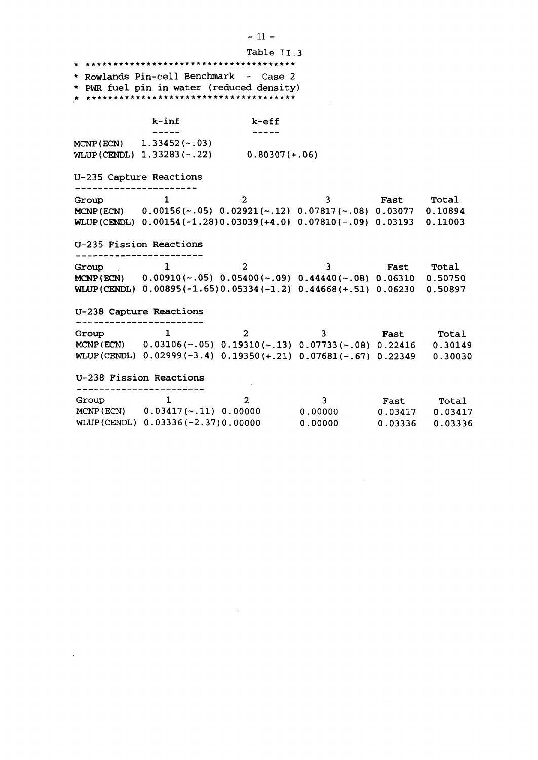|                         |                                   | Table II.3                                                                                          |              |                   |            |
|-------------------------|-----------------------------------|-----------------------------------------------------------------------------------------------------|--------------|-------------------|------------|
|                         |                                   |                                                                                                     |              |                   |            |
|                         |                                   | * Rowlands Pin-cell Benchmark - Case 2<br>* PWR fuel pin in water (reduced density)                 |              |                   |            |
|                         |                                   |                                                                                                     |              |                   |            |
|                         |                                   |                                                                                                     |              |                   |            |
|                         | $k$ -inf                          | k-eff                                                                                               |              |                   |            |
|                         |                                   |                                                                                                     |              |                   |            |
|                         | MCNP (ECN) $1.33452$ (~.03)       | WLUP (CENDL) $1.33283(-.22)$ 0.80307 (+.06)                                                         |              |                   |            |
|                         |                                   |                                                                                                     |              |                   |            |
| U-235 Capture Reactions |                                   |                                                                                                     |              |                   |            |
|                         |                                   |                                                                                                     |              |                   |            |
| Group                   | $\mathbf{1}$                      | $\overline{2}$                                                                                      | 3            | <b>Fast Total</b> |            |
|                         |                                   | MCNP (ECN) $0.00156 \times .05$ ) $0.02921 \times .12$ ) $0.07817 \times .08$ ) $0.03077$ $0.10894$ |              |                   |            |
|                         |                                   | WLUP (CENDL) $0.00154(-1.28)0.03039(+4.0) 0.07810(-.09) 0.03193$                                    |              |                   | 0.11003    |
|                         | U-235 Fission Reactions           |                                                                                                     |              |                   |            |
|                         |                                   |                                                                                                     |              |                   |            |
| Group                   | 1                                 | $\overline{2}$                                                                                      | 3            | <b>Fast Total</b> |            |
|                         |                                   | MCNP(ECN) $0.00910\,(-05)$ $0.05400\,(-09)$ $0.44440\,(-08)$ $0.06310$ $0.50750$                    |              |                   |            |
|                         |                                   | WLUP (CENDL) $0.00895(-1.65)0.05334(-1.2)$ $0.44668(+.51)$ $0.06230$                                |              |                   | 0.50897    |
|                         | U-238 Capture Reactions           |                                                                                                     |              |                   |            |
|                         |                                   |                                                                                                     |              |                   |            |
| Group                   | 1                                 | $\overline{2}$                                                                                      | 3.           |                   | Fast Total |
|                         |                                   | MCNP(ECN) $0.03106(-.05)$ $0.19310(-.13)$ $0.07733(-.08)$ $0.22416$ $0.30149$                       |              |                   |            |
|                         |                                   | WLUP (CENDL) $0.02999(-3.4)$ $0.19350(+.21)$ $0.07681(-.67)$ $0.22349$ $0.30030$                    |              |                   |            |
|                         | U-238 Fission Reactions           |                                                                                                     |              |                   |            |
|                         |                                   |                                                                                                     |              |                   |            |
| Group                   | 1                                 | $2 -$                                                                                               | $\mathbf{3}$ |                   | Fast Total |
|                         |                                   | MCNP (ECN) $0.03417$ (~.11) 0.00000 0.00000                                                         |              | 0.03417           | 0.03417    |
|                         | WLUP(CENDL) 0.03336(-2.37)0.00000 |                                                                                                     | 0.00000      | 0.03336           | 0.03336    |

 $\label{eq:2.1} \mathcal{L}(\mathcal{L}^{\mathcal{L}}_{\mathcal{L}}(\mathcal{L}^{\mathcal{L}}_{\mathcal{L}})) \leq \mathcal{L}(\mathcal{L}^{\mathcal{L}}_{\mathcal{L}}(\mathcal{L}^{\mathcal{L}}_{\mathcal{L}})) \leq \mathcal{L}(\mathcal{L}^{\mathcal{L}}_{\mathcal{L}}(\mathcal{L}^{\mathcal{L}}_{\mathcal{L}}))$ 

 $\mathcal{L}^{\mathcal{L}}(\mathcal{L}^{\mathcal{L}}(\mathcal{L}^{\mathcal{L}}(\mathcal{L}^{\mathcal{L}}(\mathcal{L}^{\mathcal{L}}(\mathcal{L}^{\mathcal{L}}(\mathcal{L}^{\mathcal{L}}(\mathcal{L}^{\mathcal{L}}(\mathcal{L}^{\mathcal{L}}(\mathcal{L}^{\mathcal{L}}(\mathcal{L}^{\mathcal{L}}(\mathcal{L}^{\mathcal{L}}(\mathcal{L}^{\mathcal{L}}(\mathcal{L}^{\mathcal{L}}(\mathcal{L}^{\mathcal{L}}(\mathcal{L}^{\mathcal{L}}(\mathcal{L}^{\mathcal{L$ 

 $-11 -$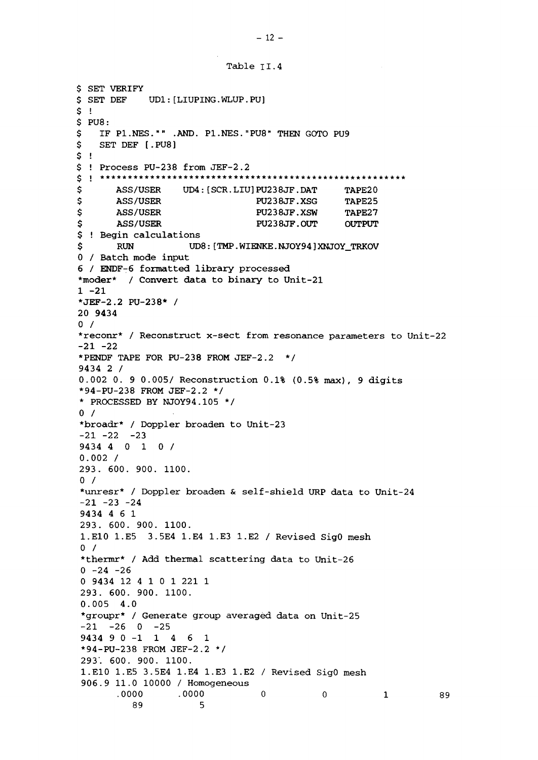Table TI.4

```
$ SET VERIFY
$ SET DEF UD1:[LIUPING.WLUP.PU]
S<sub>1</sub>$ PUS:<br>$ IF$ IF P1.NES."" .AND. P1.NES."PU8" THEN GOTO PU9<br>$ SET DEF [.PU8]
   SET DEF [.PU8]
S !
$ ! Process PU-238 from JEF-2.2
$ ASS/USER UD4: [SCR.LIU] PU238JF.DAT TAPE20
$ ASS/USER PU238JF.XSG TAPE25
$ ASS/USER PU238JF.XSW TAPE27
$ ASS/USER PU238JF.OUT OUTPUT
$ ! Begin calculations
$ RUN UD8: [TMP. WIENKE. NJOY94]XNJOY_TRKOV
0 / Batch mode input
6 / ENDF-6 formatted library processed
*moder* / Convert data to binary to Unit-21
1 -21
•JEF-2.2 PU-238* /
20 9434
0<sub>1</sub>*reconr* / Reconstruct x-sect from resonance parameters to Unit-22
-21 -22*PENDF TAPE FOR PU-238 FROM JEF-2.2 */
9434 2 /
0.002 0. 9 0.005/ Reconstruction 0.1% (0.5% max), 9 digits
*94-PU-238 FROM JEF-2.2 */
* PROCESSED BY NJOY94.105 */
0 /*broadr* / Doppler broaden to Unit-23
-21 -22 -239434 4 0 10 /
0.002 /
293. 600. 900. 1100.
0 /*unresr* / Doppler broaden & self-shield URP data to Unit-24
-21 -23 -249434 4 6 1
293. 600. 900. 1100.
1.E10 1.E5 3.5E4 1.E4 1.E3 1.E2 / Revised SigO mesh
0 /*thermr* / Add thermal scattering data to Unit-26
0 -24 -260 9434 12 4 1 0 1 221 1
293. 600. 900. 1100.
0.005 4.0
*groupr* / Generate group averaged data on Unit-25
-21 -26 0 -259434 9 0-1146 1
*94-PU-238 FROM JEF-2.2 */
293'. 600. 900. 1100.
1.E10 1.E5 3.5E4 1.E4 1.E3 1.E2 / Revised SigO mesh
906.9 11.0 10000 / Homogeneous
      .0000 .0000 0 0 1 89
         89 5
```
 $-12 -$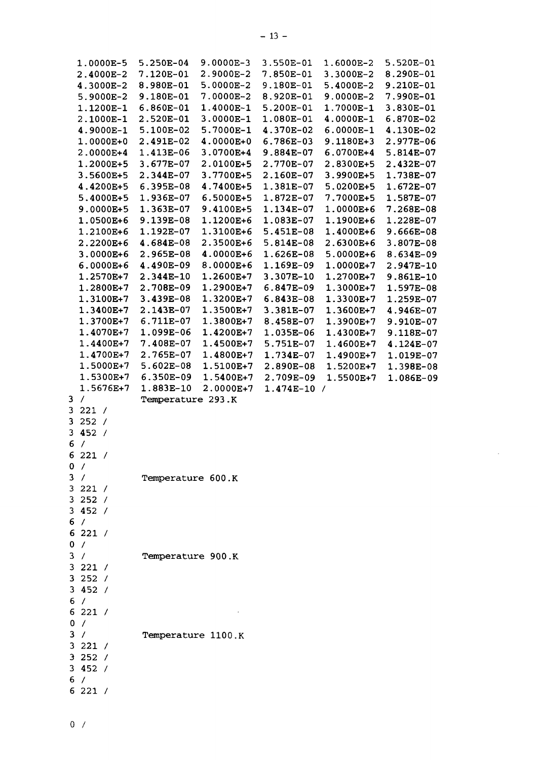| 1.0000E-5           | $5.250E-04$        | 9.0000E-3   | 3.550E-01   | 1.6000E-2                |
|---------------------|--------------------|-------------|-------------|--------------------------|
| 2.4000E-2           | 7.120E-01          | 2.9000E-2   | 7.850E-01   | 3.3000E-2                |
| 4.3000E-2           | 8.980E-01          | $5.0000E-2$ | 9.180E-01   | 5.4000E-2                |
| 5.9000E-2           | 9.180E-01          | $7.0000E-2$ | 8.920E-01   | 9.0000E-2                |
| 1.1200E-1           | 6.860E-01          | 1.4000E-1   | 5.200E-01   | 1.7000E-1                |
|                     |                    |             |             |                          |
| 2.1000E-1           | 2.520E-01          | $3.0000E-1$ | 1.080E-01   | 4.0000E-1                |
| 4.9000E-1           | 5.100E-02          | 5.7000E-1   | 4.370E-02   | $6.0000E-1$              |
| 1.0000E+0           | 2.491E-02          | 4.0000E+0   | 6.786E-03   | 9.1180E+3                |
| 2.0000E+4           | 1.413E-06          | 3.0700E+4   | 9.884E-07   | 6.0700E+4                |
| 1.2000E+5           | 3.677E-07          | 2.0100E+5   | 2.770E-07   | 2.8300E+5                |
|                     |                    |             |             |                          |
| 3.5600E+5           | 2.344E-07          | 3.7700E+5   | 2.160E-07   | 3.9900E+5                |
| 4.4200E+5           | 6.395E-08          | 4.7400E+5   | 1.381E-07   | 5.0200E+5                |
| 5.4000E+5           | 1.936E-07          | 6.5000E+5   | 1.872E-07   | 7.7000E+5                |
| 9.0000E+5           | 1.363E-07          | 9.4100E+5   | 1.134E-07   | 1.0000E+6                |
| 1.0500E+6           | 9.139E-08          | 1.1200E+6   | 1.083E-07   | 1.1900E+6                |
|                     |                    |             |             |                          |
| 1.2100E+6           | 1.192E-07          | 1.3100E+6   | 5.451E-08   | 1.4000E+6                |
| 2.2200E+6           | 4.684E-08          | 2.3500E+6   | 5.814E-08   | 2.6300E+6                |
| 3.0000E+6           | 2.965E-08          | 4.0000E+6   | 1.626E-08   | 5.0000E+6                |
| $6.0000E + 6$       | 4.490E-09          | 8.0000E+6   | 1.169E-09   | 1.0000E+7                |
| 1.2570E+7           | 2.344E-10          | 1.2600E+7   | 3.307E-10   | 1.2700E+7                |
|                     |                    |             |             |                          |
| 1.2800E+7           | 2.708E-09          | 1.2900E+7   | 6.847E-09   | 1.3000E+7                |
| 1.3100E+7           | 3.439E-08          | 1.3200E+7   | $6.843E-08$ | 1.3300E+7                |
| 1.3400E+7           | 2.143E-07          | 1.3500E+7   | 3.381E-07   | 1.3600E+7                |
| 1.3700E+7           | 6.711E-07          | 1.3800E+7   | 8.458E-07   | 1.3900E+7                |
| 1.4070E+7           | 1.099E-06          | 1.4200E+7   | 1.035E-06   | 1.4300E+7                |
| 1.4400E+7           | 7.408E-07          | 1.4500E+7   |             |                          |
|                     |                    |             | 5.751E-07   | 1.4600E+7                |
| 1.4700E+7           | 2.765E-07          | 1.4800E+7   | 1.734E-07   | 1.4900E+7                |
|                     |                    |             |             |                          |
| 1.5000E+7           | 5.602E-08          | 1.5100E+7   | 2.890E-08   | 1.5200E+7                |
|                     |                    |             |             |                          |
| 1.5300E+7           | 6.350E-09          | 1.5400E+7   | 2.709E-09   | 1.5500E+7                |
| 1.5676E+7           | 1.883E-10          | 2.0000E+7   | 1.474E-10   | $\overline{\phantom{a}}$ |
| $\prime$<br>3       | Temperature 293.K  |             |             |                          |
| 3<br>221 /          |                    |             |             |                          |
| 3<br>252 /          |                    |             |             |                          |
| 452 /<br>3.         |                    |             |             |                          |
|                     |                    |             |             |                          |
| 6<br>$\overline{1}$ |                    |             |             |                          |
| 6221/               |                    |             |             |                          |
| 0 /                 |                    |             |             |                          |
| 3 /                 | Temperature 600.K  |             |             |                          |
| 3221 /              |                    |             |             |                          |
| 3252 /              |                    |             |             |                          |
|                     |                    |             |             |                          |
| 3452/               |                    |             |             |                          |
| 6 /                 |                    |             |             |                          |
| 6221 /              |                    |             |             |                          |
| 0 /                 |                    |             |             |                          |
| 3 / 1               | Temperature 900.K  |             |             |                          |
|                     |                    |             |             |                          |
| 3221 /              |                    |             |             |                          |
| 3252/               |                    |             |             |                          |
| 3452/               |                    |             |             |                          |
| 6/                  |                    |             |             |                          |
| 6221/               |                    |             |             |                          |
|                     |                    |             |             |                          |
| 0 /                 |                    |             |             |                          |
| 3 / 1               | Temperature 1100.K |             |             |                          |
| 3221 /              |                    |             |             |                          |
| 3252 /              |                    |             |             |                          |
| 3452/               |                    |             |             |                          |
|                     |                    |             |             |                          |
| 6/<br>6221 /        |                    |             |             |                          |

5 .520E-01 8.290E-01 **CTl** .210E-01 7 .990E-01 3 .830E-01 6 .870E-02 4 .130E-02 2 .977E-06 5 .814E-07 2 .432E-07 1 .738E-07 1 .672E-07 1 .587E-07 7 .268E-08 1 .228E-07 9 .666E-08 3 .807E-08 8 .634E-09 2 .947E-10 9 .861E-10 1 .597E-08 1 .259E-07 4 .946E-07 9 .910E-07 9 .118E-07 4 .124E-07 1 .019E-07 1 .398E-08 1 .086E-09

 $\sim$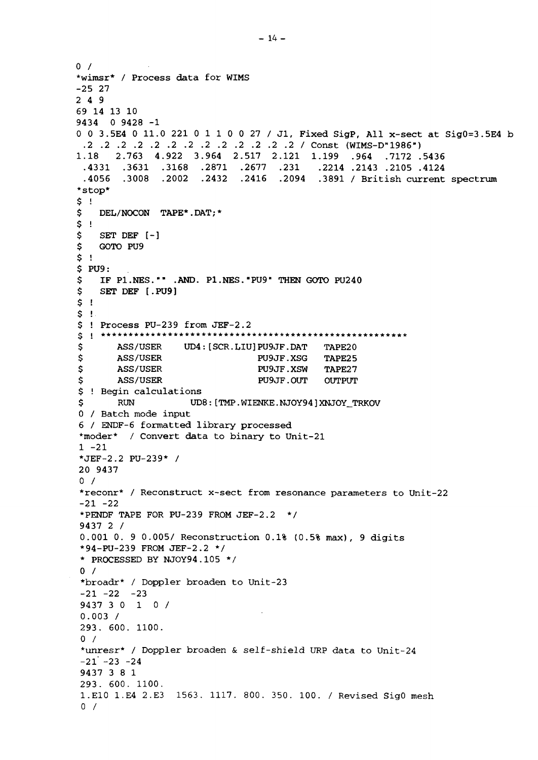```
0 /*wimsr* / Process data for WIMS
-25 27
2 4 9
69 14 13 10
9434 0 9428 -1
0 0 3.5E4 0 11.0 221 0 1 1 0 0 27 / Jl, Fixed SigP, All x-sect at SigO=3.5E4 b
 .2 .2 .2 .2 .2 .2 .2 .2 .2 .2 .2 .2 .2 / Const (WIMS-D"1986")
1.18 2.763 4.922 3.964 2.517 2.121 1.199 .964 .7172 .5436
 .4331 .3631 .3168 .2871 .2677 .231 .2214 .2143 .2105 .4124
 .4056 .3008 .2002 .2432 .2416 .2094 .3891 / British current spectrum
*stop*
\frac{5}{5} !
    DEL/NOCON TAPE*.DAT; *
\begin{array}{c} 5 \\ 5 \end{array} !
$ SET DEF [-]
    $ GOTO PU9
S !
$ PU9:
$ IF P1.NES."" .AND. P1.NES."PU9" THEN GOTO PU240<br>$ SET DEF [.PU9]
    $ SET DEF [.PU9]
$ !
\begin{array}{c} 5 \\ 5 \end{array} !
 ! Process PU-239 from JEF-2.2
g i *******************************************************
$ ASS/USER UD4:[SCR.LIU]PU9JF.DAT TAPE20<br>$ ASS/USER PU9JF.XSG TAPE25
$ ASS/USER PU9JF.XSG TAPE25<br>$ ASS/USER PU9JF.XSW TAPE27
                                 PU9JF.XSW TAPE27
$ ASS/USER PU9JF.OUT OUTPUT
$ ! Begin calculations
$ RUN UD8:[TMP.WIENKE.NJOY94]XNJOY_TRKOV
0 / Batch mode input
6 / ENDF-6 formatted library processed
*moder* / Convert data to binary to Unit-21
1 - 21*JEF-2.2 PU-239* /
20 9437
0 /*reconr* / Reconstruct x-sect from resonance parameters to Unit-22
-21 -22*PENDF TAPE FOR PU-239 FROM JEF-2.2 */
9437 2 /
0.001 0. 9 0.005/ Reconstruction 0.1% (0.5% max), 9 digits
*94-PU-239 FROM JEF-2.2 */
* PROCESSED BY NJOY94.105 */
0 /*broadr* / Doppler broaden to Unit-23
-21 -22 -239437 3 0 10 /
0.003 /
293. 600. 1100.
0 /*unresr* / Doppler broaden & self-shield URP data to Unit-24
-21 -23 -249437 3 8 1
293. 600. 1100.
1.E10 1.E4 2.E3 1563. 1117. 800. 350. 100. / Revised SigO mesh
0 /
```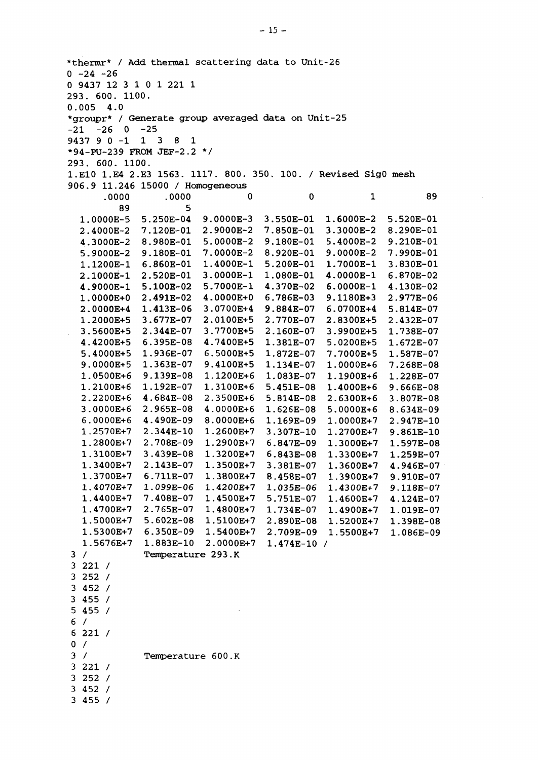\*thermr\* / Add thermal scattering data to Unit-26  $0 -24 -26$ 0 9437 12 3 1 0 1 221 1 293. 600. 1100. 0.005 4.0 \*groupr\* / Generate group averaged data on Unit-25  $-21$   $-26$  0  $-25$ 1 9437 9 0-1 1 3 8 .2 \*/ \*94-PU-239 FROM JEF-2. 293. 600. 1100. 1.E10 1.E4 2.E3 1563. 1117. 800. 350. 100. / Revised SigO mesh 906.9 11.246 15000 / Homogeneous / 221 / 252 / 452 / 455 / 455 / 221 /  $0 /$  / 221 / 252 / 452 / 455 / .0000E-5 .4000E-2 .3000E-2 .9000E-2 .1200E-1 .1000E-1 .9000E-1 .0000E+0 .0000E+4 .2000E+5 .5600E+5 .4200E+5 .4000E+5 .0000E+5 .0500E+6 .2100E+6 .2200E+6 .OO00E+6 .0000E+6 .2570E+7 .2800E+7 .3100E+7 .3400E+7 .3700E+7 .4070E+7 .4400E+7 .4700E+7 .5000E+7 .5300E+7 .5676E+7 .0000 .250E-04 .120E-01 .980E-01 .180E-01 .860E-01 .520E-01 .100E-02 •491E-02 .413E-06 .677E-07 .344E-07 .395E-08 .936E-07 .363E-07 .139E-08 .192E-07 .684E-08 .965E-08 .490E-09 .344E-10 .708E-09 .439E-08 .143E-07 .711E-07 .099E-06 .408E-07 .765E-07 .602E-08 .350E-09 .883E-10 .0000 9, .0000E-3 2. .9000E-2 5. .00O0E-2 7. .0000E-2 .4000E-1 .0000E-1 .7000E-1 .0000E+0 .0700E+4 .0100E+5 .7700E+5 .7400E+5 .5000E+5 .4100E+5 .1200E+6 .3100E+6 .350OE+6 .O00OE+6 .0000E+6 .2600E+7 .2900E+7 .3200E+7 .3500E+7 .3800E+7 .4200E+7 .4500E+7 .4800E+7 .5100E+7 .5400E+7 .OOOOE+7 Temperature 293.K Temperature 600.K  $\Omega$ 3. 550E-01 7. 850E-01 9. 180E-01 8. 920E-01 5. 200E-01 1. 080E-01 4. 370E-02 6. 786E-03 9. 884E-07 2. 770E-07 2. 160E-07 1. 381E-07 1. 872E-07 1. 134E-07 1. 083E-07 5. 451E-08 5. 814E-08 1. 626E-08 1. 169E-09 3. 307E-10 6. 847E-09 6. 843E-08 3. 381E-07 8. 458E-07 1. 035E-06 5. 751E-07 1. 734E-07 2. 890E-08 2. .709E-09 1. .474E-10 /  $\Omega$  .6000E-2 .3000E-2 .4000E-2 .0000E-2 .7000E-1 .0000E-1 .0000E-1 .1180E+3 .0700E+4 .8300E+5 .9900E+5 .0200E+5 .7000E+5 .0000E+6 .1900E+6 .4000E+6 .6300E+6 .0000E+6 .0000E+7 .2700E+7 .3000E+7 .3300E+7 .3600E+7 .3900E+7 .4300E+7 .4600E+7 .4900E+7 .5200E+7 .5500E+7 .520E-01 .290E-01 .210E-01 .990E-01 .830E-01 .870E-02 .130E-02 .977E-06 .814E-07 .432E-07 .738E-07 .672E-07 .587E-07 .268E-08 .228E-07 .666E-08 .807E-08 .634E-09 .947E-10 .861E-10 .597E-08 .259E-07 .946E-07 .910E-07 .118E-07 .124E-07 .019E-07 .398E-08 .086E-09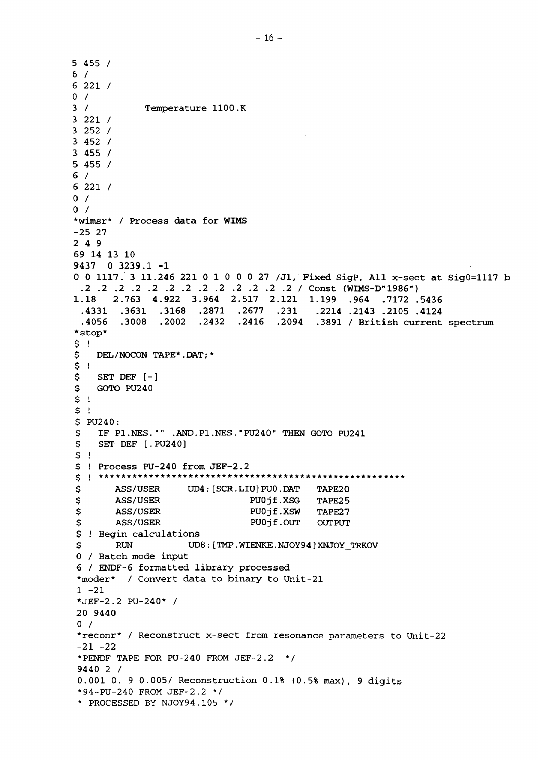**5 455 / 6 / 6 221 / 0 / 3 / Temperature 1100.K 3 221 / 3 252 / 3 452 / 3 455 / 5 455 / 6 / 6 221 / 0 / 0 / \*wimsr\* / Process data for WIMS -25 27 2 4 9 69 14 13 10 9437 0 3239.1 -1 0 0 1117. 3 11.246 221 0 1 0 0 0 27 /Jl, Fixed SigP, All x-sect at SigO=1117 b .2 .2 .2 .2 .2 .2 .2 .2 .2 .2 .2 .2 .2 / Const (WIMS-D"1986") 1.18 2.763 4.922 3.964 2.517 2.121 1.199 .964 .7172 .5436 .4331 .3631 .3168 .2871 .2677 .231 .2214 .2143 .2105 .4124 .4056 .3008 .2002 .2432 .2416 .2094 .3891 / British current spectrum \*stop\* \$ ! \$ DEL/NOCON TAPE\*.DAT;\* \$ ! \$ SET DEF [-] \$ GOTO PU240 \$ ! \$ ! \$ PU240:** \$ IF P1.NES."" .AND.P1.NES."PU240" THEN GOTO PU241<br>\$ SET DEF [.PU240] **\$ SET DEF [.PU240] \$ ! \$ ! Process PU-240 from JEF-2.2 \$ ASS/USER UD4:[SCR.LIU]PU0.DAT TAPE20 \$ ASS/USER PUOjf.XSG TAPE25 \$ ASS/USER PUOjf.XSW TAPE27 \$ ASS/USER PUOjf.OUT OUTPUT \$ ! Begin calculations \$ RUN UD8:[TMP.WIENKE.NJOY94]XNJOY\_TRKOV 0 / Batch mode input 6 / ENDF-6 formatted library processed \*moder\* / Convert data to binary to Unit-21 1 -21 \*JEF-2.2 PU-240\* / 20 9440**  $0 /$ \*reconr\* / Reconstruct x-sect from resonance parameters to Unit-22 -21 **-22** \*PENDF TAPE **FOR** PU-240 FROM JEF-2.2 \*/ **9440** 2 / 0.001 0. 9 0.005/ Reconstruction 0.1% (0.5% max), 9 digits \*94-PU-240 FROM JEF-2.2 \*/ \* PROCESSED BY NJOY94.105 \*/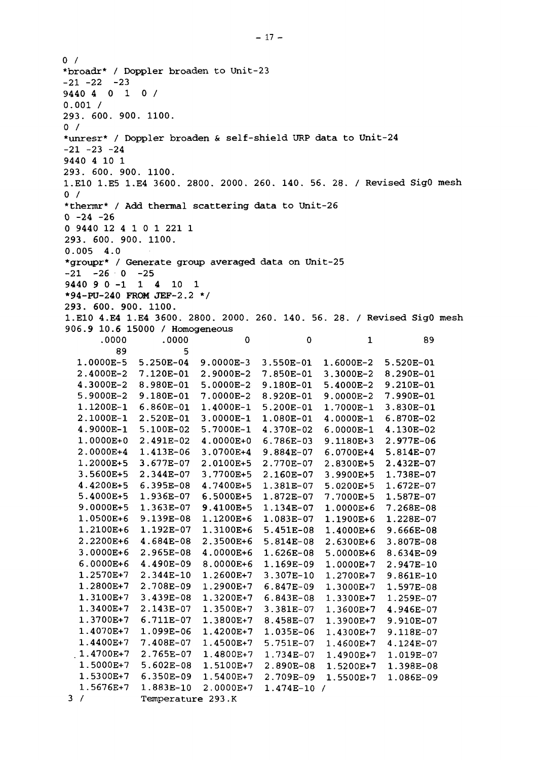$0 /$ \*broadr\* / Doppler broaden to Unit-23  $-21 -22 -23$ 9440 4 0 10 / 0.001 / 293. 600. 900. 1100.  $0 /$ \*unresr\* / Doppler broaden & self-shield URP data to Unit-24  $-21 -23 -24$ 9440 4 10 1 293. 600. 900. 1100. 1.E10 1.E5 1.E4 3600. 2800. 2000. 260. 140. 56. 28. / Revised SigO mesh  $0 /$ \*thermr\* / Add thermal scattering data to Unit-26  $0 -24 -26$ 0 9440 12 4 1 0 1 221 1 293. 600. 900. 1100. 0.005 4.0 \*groupr\* / Generate group averaged data on Unit-25  $-21$   $-26$  0  $-25$ 9440 9 0-1 1 4 10 1 •94-FU-240 FROM JEF-2.2 \*/ 293. 600. 900. 1100. 1.E10 4.E4 1.E4 3600. 2800. 2000. 260. 140. 56. 28. / Revised SigO mesh 906.9 10.6 15000 / Homogeneous .0000 89 1.0000E-5 2.4000E-2 4.3000E-2 5.9000E-2 1.1200E-1 2.1000E-1 4.9000E-1 1.0000E+0 2.0000E+4 1.2000E+5 3.5600E+5 4.4200E+5 5.4000E+5 9.0000E+5 1.0500E+6 1.2100E+6 2.2200E+6 3.0000E+6 6.0000E+6 1.2570E+7 1.2800E+7 1.3100E+7 1.3400E+7 1.3700E+7 1.4070E+7 1.4400E+7 . 1.4700E+7 1.5000E+7 1.5300E+7 1.5676E+7 3 / 5 .250E-04 7 .120E-01 8 .980E-01 9 .180E-01 6 .860E-01 2 .520E-01 5 .100E-02 2 .491E-02 1 .413E-06 3 .677E-07 2 .344E-07 6 .395E-08 1 .936E-07 1 .363E-07 9 .139E-08 1 .192E-07 4 .684E-08 2 .965E-08 4 .490E-09 2 .344E-10 2 .708E-09 3 .439E-08 2 .143E-07 6 .711E-07 1 .099E-06 7 .408E-07 2 .765E-07 5 .602E-08 6 .350E-09 1 .883E-10 Temperatu<mark>re</mark> 293.K .0000 5  $\Omega$ 9.0000E-3 2.9000E-2 5.0000E-2 7.0000E-2 1.4000E-1 3.0000E-1 5.7000E-1 4.0000E+0 3.0700E+4 2.0100E+5 3.7700E+5 4.7400E+5 6.5000E+5 9.4100E+5 1.1200E+6 1.3100E+6 2.3500E+6 4.0000E+6 8.0000E+6 1.2600E+7 1.2900E+7 1.3200E+7 1.3500E+7 1.3800E+7 1.4200E+7 1.4500E+7 1.4800E+7 1.5100E+7 1.5400E+7 2.0000E+7 3 .550E-01 7 .850E-01 9 .180E-01 8 .920E-01 5 .200E-01 1 .080E-01 4 .370E-02 6 .786E-03 9 .884E-07 2 .770E-07 2 .160E-07 1 .381E-07 1 .872E-07 1 .134E-07 1 .083E-07 5 .451E-08 5 .814E-08 1 .626E-08 1 .169E-09 3 .307E-10 6 .847E-09 6 .843E-08 3 .381E-07 8 .458E-07 1 .035E-06 5 .751E-07 1 .734E-07 2 .890E-08 2 .709E-09 1 .474E-10 / 0 1. 6000E-2 3. 3000E-2 5. 4000E-2 9. OOOOE-2 1. 7000E-1 4. 0000E-1 6. 0000E-1 9. 1180E+3 6. 0700E+4 2. 8300E+5 3. 9900E+5 5. 0200E+5 7. 7000E+5 1. 0000E+6 1. 1900E+6 1. 4000E+6 2. 6300E+6 5. 0000E+6 1. 0000E+7 1. 2700E+7 1. 3000E+7 1. 3300E+7 1. 3600E+7 1. 3900E+7 1. 4300E+7 1. 4600E+7 1. .4900E+7 1. .5200E+7 1. 5500E+7 1 5 .520E-01 8 .290E-01 9 .210E-01 7 .990E-01 3 .830E-01 6 .870E-02 4 .130E-02 2 .977E-06 5 .814E-07 2 .432E-07 1 .738E-07 1 .672E-07 1 .587E-07 7 .268E-08 1 .228E-07 9 .666E-08 3 .807E-08 8 .634E-09 2 .947E-10 9 .861E-10 1 .597E-08 1 .259E-07 4 .946E-07 9 .910E-07 9 .118E-07 4 .124E-07 1 .019E-07 1 .398E-08 1 .086E-0989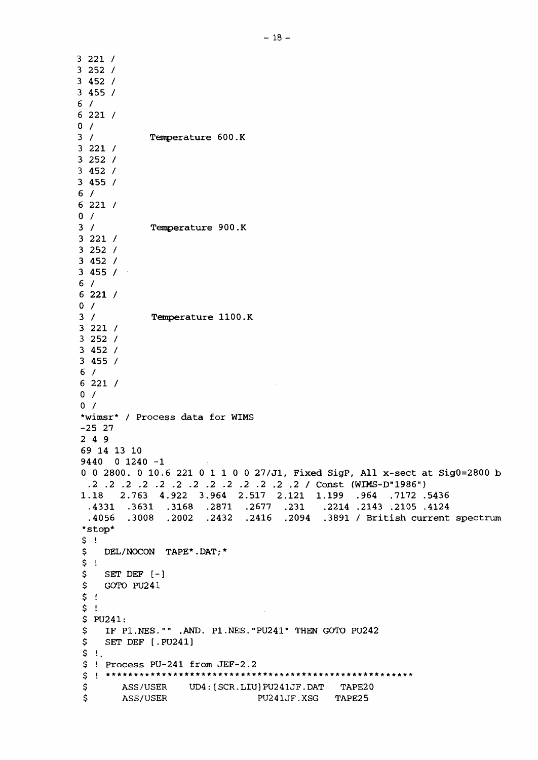3 221 / 3 252 / 3 452 / 3 455 / 6 / 6 221 / 0 / 3 / 3 221 / 3 252 / 3 452 / 3 455 / 6 / 6 221 /  $0 /$ 3 / 3 221 / 3 252 / 3 452 / 3 455 / 6 / 6 221 / 0 / 3 / 3 221 / 3 252 / 3 452 / 3 455 / 6 / 6 221 / 0 / 0 / Temperature 600.K Temperature 900.K Temperature 1100.K \*wimsr\* / Process data for WIMS -25 27 2 4 9 69 14 13 10 9440 0 1240 -1 0 0 2800. 0 10.6 221 0 1 1 0 0 27/Jl, Fixed SigP, All x-sect at Sig0=2800 b .2 .2 .2 .2 .2 .2 .2 .2 .2 .2 .2 .2 .2 / Const (WIMS-D"1986") 1.18 2.763 4.922 3.964 2.517 2.121 1.199 .964 .7172 .5436 .4331 .3631 .3168 .2871 .2677 .231 .2214 .2143 .2105 .4124 .4056 .3008 .2002 .2432 .2416 .2094 .3891 / British current spectrum \*stop\*  $\frac{5}{5}$  ! DEL/NOCON TAPE\*.DAT; \*  $\begin{array}{cc} 5 & 1 \\ 5 & 1 \end{array}$ \$ SET DEF [-]<br>\$ GOTO PU241 \$ GOTO PU241  $$$ !  $$$ !  $$ PU241:  
\n $$ F P$$ \$ IF Pl.NES."" .AND. P1.NES."PU241" THEN GOTO PU242 SET DEF [.PU241]  $$ 1.$ \$ ! Process PU-241 from JEF-2.2 \$ ASS/USER UD4: [SCR.LIU]PU241JF.DAT TAPE20<br>\$ ASS/USER PU241JF.XSG TAPE25 ASS/USER PU241JF.XSG TAPE25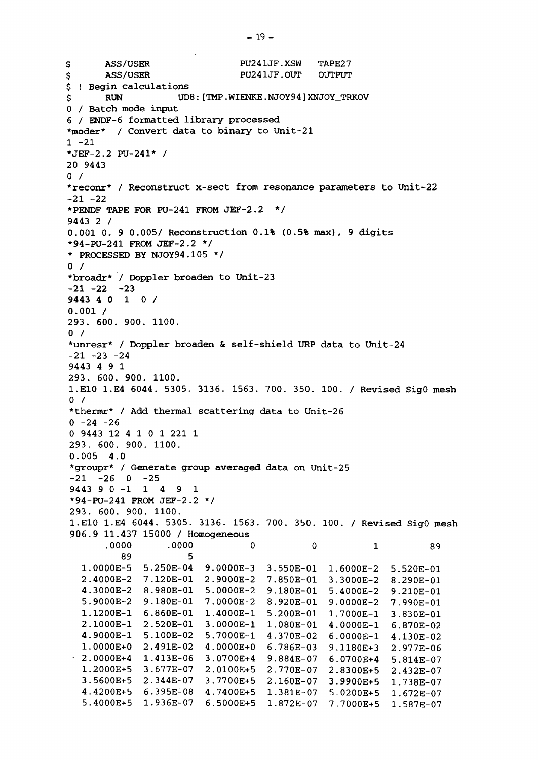TAPE27 OUTPUT \$ ASS/USER PU241JF.XSW \$ ASS/USER PU241JF.OUT \$ ! Begin calculations \$ RUN UD8: [TMP.WIENKE.NJOY94]XNJOY\_TRKOV 0 / Batch mode input 6 / ENDF-6 formatted library processed \*moder\* / Convert data to binary to Unit-21  $1 - 21$ \*JEF-2.2 PU-241\* / 20 9443  $0 /$ \*reconr\* / Reconstruct x-sect from resonance parameters to Unit-22  $-21 -22$ **•PENDF TAPE FOR PU-241 FROM JEF-2.2 \*/ 9443 2 /** 0.001 0. 9 0.005/ Reconstruction 0.1% (0.5% max), 9 digits •94-PU-241 FROM JEF-2.2 \*/ \* PROCESSED BY NJOY94.105 \*/  $0 /$ \*broadr\* / Doppler broaden to Unit-23 -23 -21 -22 9443 4 0 1 0 900. 1100. 293. 600. \*unresr\* / Doppler broaden & self-shield URP data to Unit-24  $0.001 /$  $0/$  $-21 -23 -24$ 9443 4 9 1 293. 600. 900. 1100. 1.E10 1.E4 6044. 5305. 3136. 1563. 700. 350. 100. / Revised SigO mesh  $0 /$ \*thermr\* / Add thermal scattering data to Unit-26  $0 -24 -26$ 0 9443 12 4 1 0 1 221 1 293. 600. 900. 1100. 0.005 4.0 \*groupr\* / Generate group averaged data on Unit-25  $-21$   $-26$  0  $-25$ 9443 9 0-1149 1 \*94-PU-241 FROM JEF-2.2 \*/ 293 . 600. 900. 1100. 1.E10 1.E4 6044. 5305. 3136. 1563. 700. 350. 100. / Revised SigO mesh 906.9 11.437 15000 / Homogeneous .0000 89 1.0000E-5 2.4000E-2 7.120E-01 2.9000E-2 7.850E-01 3.3000E-2 8.290E-01 4.3000E-2 8.980E-01 5.0000E-2 9.180E-01 5.4000E-2 9.210E-01 5.9000E-2 9.180E-01 7.0000E-2 8.920E-01 1.1200E-1 6.860E-01 2.1000E-1 2.520E-01 3.0000E-1 1.080E-01 4.9000E-1 5.100E-02 5.7000E-1 4.370E-02 1.0000E+0 2.491E-02 4.0000E+0 6.786E-03 2.0000E+4 1.413E-06 1.2000E+5 3.5600E+5 2.344E-07 3.7700E+5 2.160E-07 4.4200E+5 6.395E-08 4.7400E+5 1.381E-07 5.4000E+5 1.936E-07 6.5000E+5 1.872E-07 7.7000E+5 1.587E-07.0000 C D 5.250E-04 9.0000E-3 3.550E-01 1.6000E-2 5.520E-01 3.677E-07 2.0100E+5 2.770E-07  $\Omega$ 1.4000E-1 5.200E-01 3.0700E+4 9.884E-07 0 1 9.0000E-2 7.990E-01 1.7000E-1 4.0000E-1 6.870E-02 6.0000E-1 4.130E-02 9.1180E+3 6.0700E+4 2.8300E+5 2.432E-07 3.9900E+5 1.738E-07 5.0200E+5 1.672E-07 89 3.830E-01 2.977E-06 5.814E-07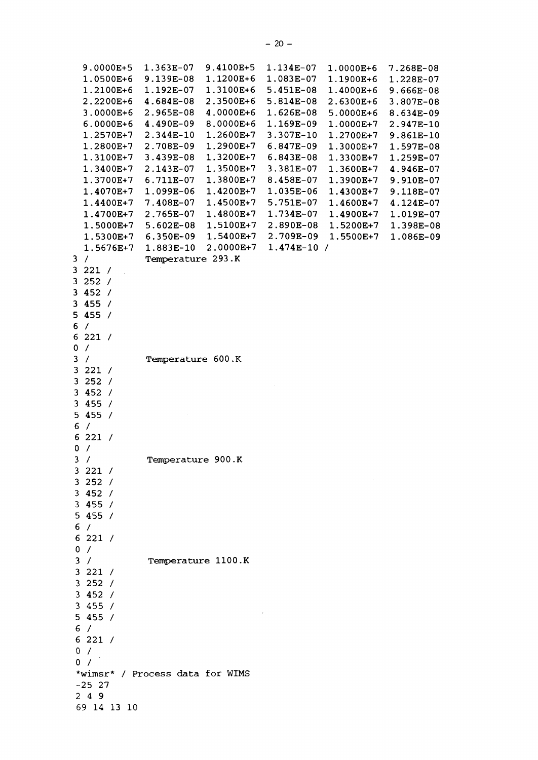| 9.0000E+5<br>1.0500E+6<br>1.2100E+6<br>2.2200E+6<br>3.0000E+6<br>$6.0000E + 6$<br>1.2570E+7<br>1.2800E+7<br>1.3100E+7<br>1.3400E+7<br>1.3700E+7<br>1.4070E+7<br>1.4400E+7<br>1.4700E+7<br>1.5000E+7<br>1.5300E+7<br>1.5676E+7 | 1.363E-07<br>9.139E-08<br>1.192E-07<br>4.684E-08<br>2.965E-08<br>4.490E-09<br>2.344E-10<br>2.708E-09<br>3.439E-08<br>2.143E-07<br>6.711E-07<br>1.099E-06<br>7.408E-07<br>2.765E-07<br>$5.602E-08$<br>6.350E-09<br>1.883E-10 | 9.4100E+5<br>1.1200E+6<br>1.3100E+6<br>2.3500E+6<br>4.0000E+6<br>8.0000E+6<br>1.2600E+7<br>1.2900E+7<br>1.3200E+7<br>1.3500E+7<br>1.3800E+7<br>1.4200E+7<br>1.4500E+7<br>1.4800E+7<br>1.5100E+7<br>1.5400E+7<br>2.0000E+7 | 1.134E-07<br>1.083E-07<br>5.451E-08<br>$5.814E-08$<br>1.626E-08<br>1.169E-09<br>3.307E-10<br>6.847E-09<br>6.843E-08<br>3.381E-07<br>8.458E-07<br>1.035E-06<br>5.751E-07<br>1.734E-07<br>2.890E-08<br>2.709E-09<br>$1.474E-10/$ | 1.0000E+6<br>1.1900E+6<br>1.4000E+6<br>2.6300E+6<br>$5.0000E + 6$<br>1.0000E+7<br>1.2700E+7<br>1.3000E+7<br>1.3300E+7<br>1.3600E+7<br>1.3900E+7<br>1.4300E+7<br>1.4600E+7<br>1.4900E+7<br>1.5200E+7<br>1.5500E+7 | 7.268E-08<br>1.228E-07<br>$9.666E-08$<br>$3.807E-08$<br>8.634E-09<br>2.947E-10<br>9.861E-10<br>1.597E-08<br>1.259E-07<br>4.946E-07<br>9.910E-07<br>9.118E-07<br>4.124E-07<br>1.019E-07<br>1.398E-08<br>1.086E-09 |
|-------------------------------------------------------------------------------------------------------------------------------------------------------------------------------------------------------------------------------|-----------------------------------------------------------------------------------------------------------------------------------------------------------------------------------------------------------------------------|---------------------------------------------------------------------------------------------------------------------------------------------------------------------------------------------------------------------------|--------------------------------------------------------------------------------------------------------------------------------------------------------------------------------------------------------------------------------|------------------------------------------------------------------------------------------------------------------------------------------------------------------------------------------------------------------|------------------------------------------------------------------------------------------------------------------------------------------------------------------------------------------------------------------|
| $\prime$<br>3                                                                                                                                                                                                                 | Temperature 293.K                                                                                                                                                                                                           |                                                                                                                                                                                                                           |                                                                                                                                                                                                                                |                                                                                                                                                                                                                  |                                                                                                                                                                                                                  |
| 3221 /<br>$\mathcal{L}$                                                                                                                                                                                                       |                                                                                                                                                                                                                             |                                                                                                                                                                                                                           |                                                                                                                                                                                                                                |                                                                                                                                                                                                                  |                                                                                                                                                                                                                  |
| 252 /<br>3<br>3452/                                                                                                                                                                                                           |                                                                                                                                                                                                                             |                                                                                                                                                                                                                           |                                                                                                                                                                                                                                |                                                                                                                                                                                                                  |                                                                                                                                                                                                                  |
| 3455/                                                                                                                                                                                                                         |                                                                                                                                                                                                                             |                                                                                                                                                                                                                           |                                                                                                                                                                                                                                |                                                                                                                                                                                                                  |                                                                                                                                                                                                                  |
| 5455/                                                                                                                                                                                                                         |                                                                                                                                                                                                                             |                                                                                                                                                                                                                           |                                                                                                                                                                                                                                |                                                                                                                                                                                                                  |                                                                                                                                                                                                                  |
| 6 <sup>1</sup><br>$\prime$                                                                                                                                                                                                    |                                                                                                                                                                                                                             |                                                                                                                                                                                                                           |                                                                                                                                                                                                                                |                                                                                                                                                                                                                  |                                                                                                                                                                                                                  |
| 6221 /<br>$\prime$<br>0                                                                                                                                                                                                       |                                                                                                                                                                                                                             |                                                                                                                                                                                                                           |                                                                                                                                                                                                                                |                                                                                                                                                                                                                  |                                                                                                                                                                                                                  |
| 3<br>$\sqrt{2}$                                                                                                                                                                                                               | Temperature 600.K                                                                                                                                                                                                           |                                                                                                                                                                                                                           |                                                                                                                                                                                                                                |                                                                                                                                                                                                                  |                                                                                                                                                                                                                  |
| 3<br>221 /                                                                                                                                                                                                                    |                                                                                                                                                                                                                             |                                                                                                                                                                                                                           |                                                                                                                                                                                                                                |                                                                                                                                                                                                                  |                                                                                                                                                                                                                  |
| 3252 /                                                                                                                                                                                                                        |                                                                                                                                                                                                                             |                                                                                                                                                                                                                           |                                                                                                                                                                                                                                |                                                                                                                                                                                                                  |                                                                                                                                                                                                                  |
| 3<br>452 /<br>3455/                                                                                                                                                                                                           |                                                                                                                                                                                                                             |                                                                                                                                                                                                                           |                                                                                                                                                                                                                                |                                                                                                                                                                                                                  |                                                                                                                                                                                                                  |
| 5455/                                                                                                                                                                                                                         |                                                                                                                                                                                                                             |                                                                                                                                                                                                                           |                                                                                                                                                                                                                                |                                                                                                                                                                                                                  |                                                                                                                                                                                                                  |
| 6<br>$\prime$                                                                                                                                                                                                                 |                                                                                                                                                                                                                             |                                                                                                                                                                                                                           |                                                                                                                                                                                                                                |                                                                                                                                                                                                                  |                                                                                                                                                                                                                  |
| 6221/                                                                                                                                                                                                                         |                                                                                                                                                                                                                             |                                                                                                                                                                                                                           |                                                                                                                                                                                                                                |                                                                                                                                                                                                                  |                                                                                                                                                                                                                  |
| $\prime$<br>0                                                                                                                                                                                                                 |                                                                                                                                                                                                                             |                                                                                                                                                                                                                           |                                                                                                                                                                                                                                |                                                                                                                                                                                                                  |                                                                                                                                                                                                                  |
| 3<br>$\prime$<br>3221/                                                                                                                                                                                                        | Temperature 900.K                                                                                                                                                                                                           |                                                                                                                                                                                                                           |                                                                                                                                                                                                                                |                                                                                                                                                                                                                  |                                                                                                                                                                                                                  |
| 3252/                                                                                                                                                                                                                         |                                                                                                                                                                                                                             |                                                                                                                                                                                                                           |                                                                                                                                                                                                                                |                                                                                                                                                                                                                  |                                                                                                                                                                                                                  |
| 3452/                                                                                                                                                                                                                         |                                                                                                                                                                                                                             |                                                                                                                                                                                                                           |                                                                                                                                                                                                                                |                                                                                                                                                                                                                  |                                                                                                                                                                                                                  |
| 3455/                                                                                                                                                                                                                         |                                                                                                                                                                                                                             |                                                                                                                                                                                                                           |                                                                                                                                                                                                                                |                                                                                                                                                                                                                  |                                                                                                                                                                                                                  |
| 5455/                                                                                                                                                                                                                         |                                                                                                                                                                                                                             |                                                                                                                                                                                                                           |                                                                                                                                                                                                                                |                                                                                                                                                                                                                  |                                                                                                                                                                                                                  |
| 6/<br>6221/                                                                                                                                                                                                                   |                                                                                                                                                                                                                             |                                                                                                                                                                                                                           |                                                                                                                                                                                                                                |                                                                                                                                                                                                                  |                                                                                                                                                                                                                  |
| 0/                                                                                                                                                                                                                            |                                                                                                                                                                                                                             |                                                                                                                                                                                                                           |                                                                                                                                                                                                                                |                                                                                                                                                                                                                  |                                                                                                                                                                                                                  |
| 3 /                                                                                                                                                                                                                           | Temperature 1100.K                                                                                                                                                                                                          |                                                                                                                                                                                                                           |                                                                                                                                                                                                                                |                                                                                                                                                                                                                  |                                                                                                                                                                                                                  |
| 3 221 /                                                                                                                                                                                                                       |                                                                                                                                                                                                                             |                                                                                                                                                                                                                           |                                                                                                                                                                                                                                |                                                                                                                                                                                                                  |                                                                                                                                                                                                                  |
| 3252/                                                                                                                                                                                                                         |                                                                                                                                                                                                                             |                                                                                                                                                                                                                           |                                                                                                                                                                                                                                |                                                                                                                                                                                                                  |                                                                                                                                                                                                                  |
| 3452/<br>3455/                                                                                                                                                                                                                |                                                                                                                                                                                                                             |                                                                                                                                                                                                                           |                                                                                                                                                                                                                                |                                                                                                                                                                                                                  |                                                                                                                                                                                                                  |
| 5455/                                                                                                                                                                                                                         |                                                                                                                                                                                                                             |                                                                                                                                                                                                                           |                                                                                                                                                                                                                                |                                                                                                                                                                                                                  |                                                                                                                                                                                                                  |
| 6 /                                                                                                                                                                                                                           |                                                                                                                                                                                                                             |                                                                                                                                                                                                                           |                                                                                                                                                                                                                                |                                                                                                                                                                                                                  |                                                                                                                                                                                                                  |
| 6221/                                                                                                                                                                                                                         |                                                                                                                                                                                                                             |                                                                                                                                                                                                                           |                                                                                                                                                                                                                                |                                                                                                                                                                                                                  |                                                                                                                                                                                                                  |
| 0/                                                                                                                                                                                                                            |                                                                                                                                                                                                                             |                                                                                                                                                                                                                           |                                                                                                                                                                                                                                |                                                                                                                                                                                                                  |                                                                                                                                                                                                                  |
| 0/                                                                                                                                                                                                                            |                                                                                                                                                                                                                             |                                                                                                                                                                                                                           |                                                                                                                                                                                                                                |                                                                                                                                                                                                                  |                                                                                                                                                                                                                  |
| *wimsr* / Process data for WIMS<br>$-25$ 27                                                                                                                                                                                   |                                                                                                                                                                                                                             |                                                                                                                                                                                                                           |                                                                                                                                                                                                                                |                                                                                                                                                                                                                  |                                                                                                                                                                                                                  |
| 249                                                                                                                                                                                                                           |                                                                                                                                                                                                                             |                                                                                                                                                                                                                           |                                                                                                                                                                                                                                |                                                                                                                                                                                                                  |                                                                                                                                                                                                                  |
| 69 14 13 10                                                                                                                                                                                                                   |                                                                                                                                                                                                                             |                                                                                                                                                                                                                           |                                                                                                                                                                                                                                |                                                                                                                                                                                                                  |                                                                                                                                                                                                                  |
|                                                                                                                                                                                                                               |                                                                                                                                                                                                                             |                                                                                                                                                                                                                           |                                                                                                                                                                                                                                |                                                                                                                                                                                                                  |                                                                                                                                                                                                                  |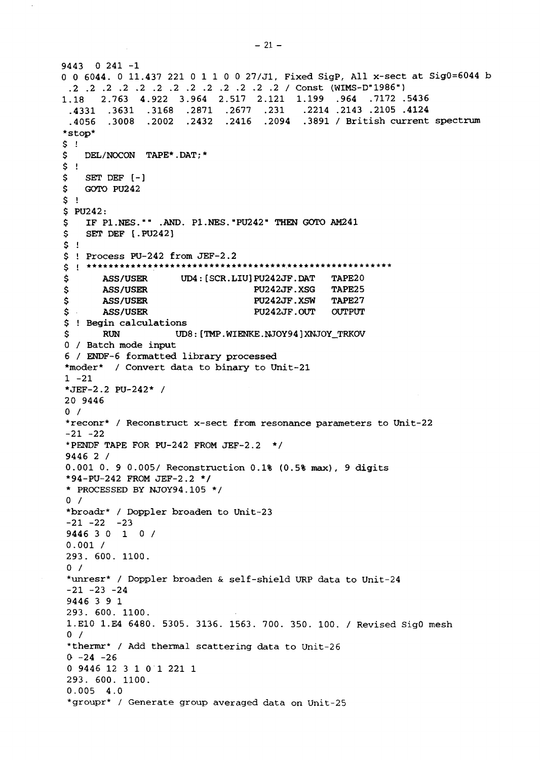```
9443 0 241 -1
0 0 6044. 0 11.437 221 0 11 0 0 27/J1, Fixed SigP, All x-sect at Sig0=6044 b
.2 .2 .2 .2 .2 .2 .2 .2 .2 .2 .2 .2 .2 / Const (WIMS-D"1986")
1.18 2.763 4.922 3.964 2.517 2.121 1.199 .964 .7172 .5436
 .4331 .3631 .3168 .2871 .2677 .231 .2214 .2143 .2105 .4124
 .4056 .3008 .2002 .2432 .2416 .2094 .3891 / British current spectrum
*stop*
\begin{array}{c} 5 \\ 5 \end{array} !
   DEL/NOCON TAPE*.DAT; *
\frac{5}{5} !
$ SET DEF [-]<br>$ GOTO PU242
   $ GOTO PU242
5 !
$ PU242:<br>$ IF P
$ IF Pl.NES."" .AND. P1.NES.-PU242" THEN GOTO AM241
    SET DEF [.PU242]
$ 1$ ! Process PU-242 from JEF-2.2
$ ASS/USER UD4:[SCR.LIUJPU242JF.DAT TAPE20
$ ASS/USER PU242JF.XSG TAPE25
$ ASS/USER PU242JF.XSW TAPE27
$ ASS/USER PU242JF.OUT OUTPUT
$ ! Begin calculations
$ RUN UD8: [TMP.WIENKE.NJOY94]XNJOY_TRKOV
0 / Batch mode input
6 / ENDF-6 formatted library processed
*moder* / Convert data to binary to Unit-21
1 -21*JEF-2.2 PU-242* /
20 9446
0 /*reconr* / Reconstruct x-sect from resonance parameters to Unit-22
-21 -22*PENDF TAPE FOR PU-242 FROM JEF-2.2 */
9446 2 /
0.001 0. 9 0.005/ Reconstruction 0.1% (0.5% max), 9 digits
*94-PU-242 FROM JEF-2.2 */
* PROCESSED BY NJOY94.105 */
0 /*broadr* / Doppler broaden to Unit-23
-21 -22 -239446 3 0 10 /
0.001 /
293. 600. 1100.
0 /*unresr* / Doppler broaden & self-shield URP data to Unit-24
-21 -23 -249446 3 9 1
293. 600. 1100.
1.E10 1.E4 6480. 5305. 3136. 1563. 700. 350. 100. / Revised SigO mesh
0 /*thermr* / Add thermal scattering data to Unit-26
0 -24 -260 9446 12 3 1 0 1 221 1
293. 600. 1100.
0.005 4.0
*groupr* / Generate group averaged data on Unit-25
```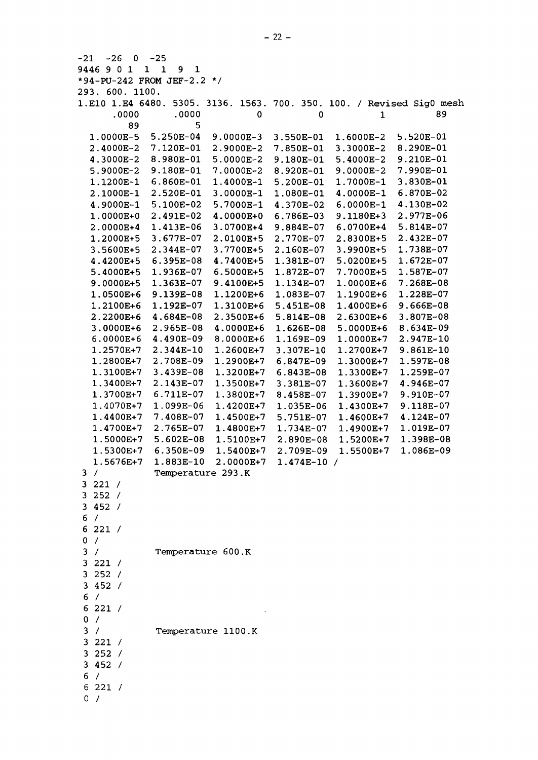| -21<br>-26<br>v            | -25                                   |                    |              |               |                                                                       |
|----------------------------|---------------------------------------|--------------------|--------------|---------------|-----------------------------------------------------------------------|
| 9446 9 0 1                 | $\mathbf{1}$<br>$\mathbf 1$<br>9<br>1 |                    |              |               |                                                                       |
| *94-PU-242 FROM JEF-2.2 */ |                                       |                    |              |               |                                                                       |
| 293. 600. 1100.            |                                       |                    |              |               |                                                                       |
|                            |                                       |                    |              |               | 1.E10 1.E4 6480. 5305. 3136. 1563. 700. 350. 100. / Revised Sig0 mesh |
| .0000                      | .0000                                 | 0                  | 0            | $\mathbf{1}$  | 89                                                                    |
| 89                         | 5                                     |                    |              |               |                                                                       |
| 1.0000E-5                  | 5.250E-04                             | $9.0000E-3$        | 3.550E-01    | $1.6000E-2$   | 5.520E-01                                                             |
| 2.4000E-2                  | 7.120E-01                             | 2.9000E-2          | 7.850E-01    | 3.3000E-2     | 8.290E-01                                                             |
| 4.3000E-2                  | 8.980E-01                             | 5.0000E-2          | 9.180E-01    | 5.4000E-2     | 9.210E-01                                                             |
| 5.9000E-2                  | 9.180E-01                             | 7.0000E-2          | 8.920E-01    | $9.0000E - 2$ | 7.990E-01                                                             |
| 1.1200E-1                  | 6.860E-01                             | 1.4000E-1          | 5.200E-01    | 1.7000E-1     | 3.830E-01                                                             |
| 2.1000E-1                  | 2.520E-01                             | 3.0000E-1          | 1.080E-01    | 4.0000E-1     | 6.870E-02                                                             |
| 4.9000E-1                  | 5.100E-02                             | 5.7000E-1          | 4.370E-02    | 6.0000E-1     | 4.130E-02                                                             |
| 1.0000E+0                  | 2.491E-02                             | 4.0000E+0          | 6.786E-03    | 9.1180E+3     | 2.977E-06                                                             |
|                            |                                       |                    |              |               |                                                                       |
| 2.0000E+4                  | 1.413E-06                             | 3.0700E+4          | 9.884E-07    | 6.0700E+4     | 5.814E-07                                                             |
| 1.2000E+5                  | 3.677E-07                             | 2.0100E+5          | 2.770E-07    | 2.8300E+5     | 2.432E-07                                                             |
| 3.5600E+5                  | 2.344E-07                             | 3.7700E+5          | 2.160E-07    | 3.9900E+5     | 1.738E-07                                                             |
| 4.4200E+5                  | $6.395E-08$                           | 4.7400E+5          | 1.381E-07    | 5.0200E+5     | 1.672E-07                                                             |
| 5.4000E+5                  | 1.936E-07                             | 6.5000E+5          | 1.872E-07    | 7.7000E+5     | 1.587E-07                                                             |
| 9.0000E+5                  | 1.363E-07                             | 9.4100E+5          | 1.134E-07    | 1.0000E+6     | 7.268E-08                                                             |
| 1.0500E+6                  | 9.139E-08                             | 1.1200E+6          | 1.083E-07    | 1.1900E+6     | 1.228E-07                                                             |
| 1.2100E+6                  | 1.192E-07                             | 1.3100E+6          | 5.451E-08    | 1.4000E+6     | 9.666E-08                                                             |
| 2.2200E+6                  | 4.684E-08                             | 2.3500E+6          | 5.814E-08    | 2.6300E+6     | 3.807E-08                                                             |
| 3.0000E+6                  | 2.965E-08                             | 4.0000E+6          | 1.626E-08    | 5.0000E+6     | 8.634E-09                                                             |
| $6.0000E + 6$              | 4.490E-09                             | 8.0000E+6          | 1.169E-09    | 1.0000E+7     | 2.947E-10                                                             |
| 1.2570E+7                  | 2.344E-10                             | 1.2600E+7          | 3.307E-10    | 1.2700E+7     | 9.861E-10                                                             |
| 1.2800E+7                  | 2.708E-09                             | 1.2900E+7          | 6.847E-09    | 1.3000E+7     | 1.597E-08                                                             |
| 1.3100E+7                  | 3.439E-08                             | 1.3200E+7          | 6.843E-08    | 1.3300E+7     | 1.259E-07                                                             |
| 1.3400E+7                  | 2.143E-07                             | 1.3500E+7          | 3.381E-07    | 1.3600E+7     | 4.946E-07                                                             |
| 1.3700E+7                  | 6.711E-07                             | 1.3800E+7          | 8.458E-07    | 1.3900E+7     | 9.910E-07                                                             |
| 1.4070E+7                  | 1.099E-06                             | 1.4200E+7          | 1.035E-06    | 1.4300E+7     | 9.118E-07                                                             |
| 1.4400E+7                  | 7.408E-07                             | 1.4500E+7          | 5.751E-07    | 1.4600E+7     | 4.124E-07                                                             |
| 1.4700E+7                  | 2.765E-07                             | 1.4800E+7          | 1.734E-07    | 1.4900E+7     | 1.019E-07                                                             |
| 1.5000E+7                  | $5.602E-08$                           | 1.5100E+7          | 2.890E-08    | 1.5200E+7     | 1.398E-08                                                             |
| 1.5300E+7                  | 6.350E-09                             | 1.5400E+7          | 2.709E-09    | 1.5500E+7     | 1.086E-09                                                             |
|                            | 1.883E-10                             |                    |              |               |                                                                       |
| 1.5676E+7                  |                                       | $2.0000E+7$        | $1.474E-10/$ |               |                                                                       |
| 3/                         | Temperature 293.K                     |                    |              |               |                                                                       |
| 3221 /                     |                                       |                    |              |               |                                                                       |
| 3252 /                     |                                       |                    |              |               |                                                                       |
| 3452/                      |                                       |                    |              |               |                                                                       |
| 6/                         |                                       |                    |              |               |                                                                       |
| 6221/                      |                                       |                    |              |               |                                                                       |
| 0 /                        |                                       |                    |              |               |                                                                       |
| 3 /                        | Temperature 600.K                     |                    |              |               |                                                                       |
| 3221 /                     |                                       |                    |              |               |                                                                       |
| 3252 /                     |                                       |                    |              |               |                                                                       |
| 3452/                      |                                       |                    |              |               |                                                                       |
| 6/                         |                                       |                    |              |               |                                                                       |
| 6221 /                     |                                       |                    |              |               |                                                                       |
| 0 /                        |                                       |                    |              |               |                                                                       |
| 3 /                        |                                       | Temperature 1100.K |              |               |                                                                       |
| 3221 /                     |                                       |                    |              |               |                                                                       |
| 3252/                      |                                       |                    |              |               |                                                                       |
| 3452/                      |                                       |                    |              |               |                                                                       |
|                            |                                       |                    |              |               |                                                                       |
| 6/                         |                                       |                    |              |               |                                                                       |
| 6221/                      |                                       |                    |              |               |                                                                       |
| 0 /                        |                                       |                    |              |               |                                                                       |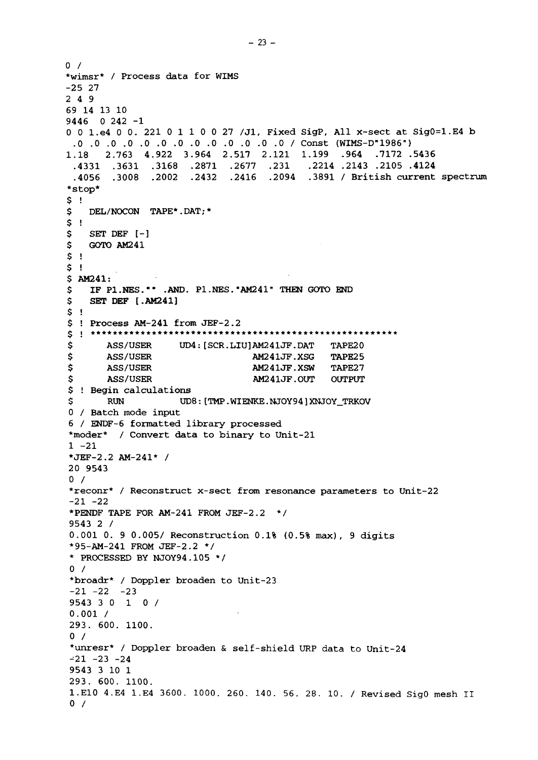```
0 /*wimsr* / Process data for WIMS
-25 27
2 4 9
69 14 13 10
9446 0 242 -1
0 0 I.e4 0 0. 221 0 1 1 0 0 27 /Jl, Fixed SigP, All x-sect at SigO=l.E4 b
 0 .0 .0 .0 .0 .0 .0 .0 .0 / Const (WIMS-D"1986")
.0 .0 .0 .0
4.922 3.964 2.517 2.121 1.199 .964 .7172 .5436
1.18 2.763
 .3168 .2871 .2677 .231 .2214 .2143 .2105 .4124
.4331 .3631
       .2002 .2432 .2416 .2094 .3891 / British current spectrum
 .4056*stop*
$ !
$ DEL/NOCON TAPE*.DAT; *
$ 1$
   SET DEF [-]
$
   GOTO AM241
$ !
$!
$ AM241:
    IF Pl.NES."" .AND. Pl.NES.
"AM241" THEN GOTO END
$
   SET DEF [.AM241]
5<sub>1</sub>$! Process AM-241 from JEF-2.2
\t *********** *
      ASS/USER UD4:[SCR.LIUJAM241JF.DAT TAPE20
$
$
      ASS/USER AM241JF.XSG TAPE25
\mathsf{S}ASS/USER AM241JF.XSW TAPE27
\mathsf{S}ASS/USER AM241JF.OUT OUTPUT
$ ! Begin calculations
Ś
      RUN UD8: [TMP.WIENKE.NJOY94]XNJOY_TRKOV
0 / Batch mode input
6 / ENDF-6 formatted library processed
*moder* / Convert data to binary to Unit-21
1 -21*JEF-2.2 AM-241* /
20 9543
0 /*reconr* / Reconstruct x-sect from resonance parameters to Unit-22
-21 -22*PENDF TAPE FOR AM-241 FROM JEF-2.2 */
9543 2 /
0.001 0. 9 0.005/ Reconstruction 0.1% (0.5% max), 9 digits
*95-AM-241 FROM JEF-2.2 */
* PROCESSED BY NJOY94.105 */
0 /*broadr* / Doppler broaden to Unit-23
-21 -22 -239543 3 0 10 /
0.001 /
                           \sim293. 600. 1100.
0 /*unresr* / Doppler broaden & self-shield URP data to Unit-24
-21 -23 -249543 3 10 1
293. 600. 1100.
1.E10 4.E4 1.E4 3600. 1000. 260. 140. 56. 28. 10. / Revised SigO mesh II
0 /
```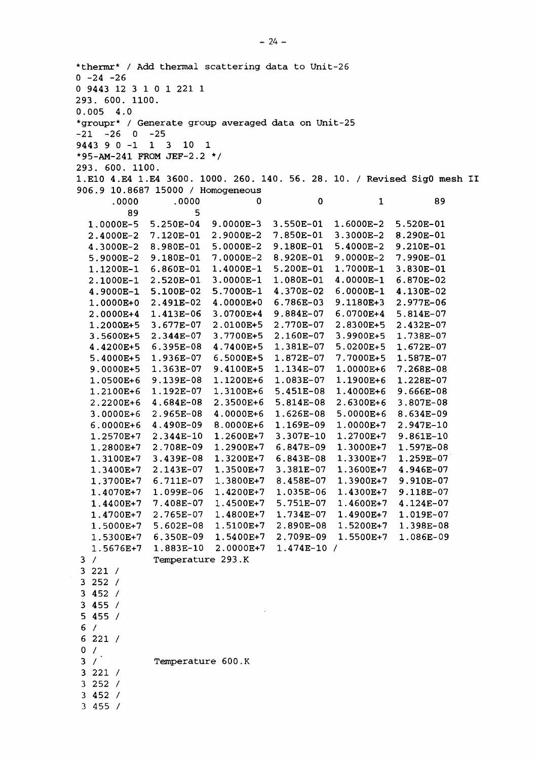\*thermr\* / Add thermal scattering data to Unit-26  $0 -24 -26$ 0 9443 12 3 1 0 1 221 1 293. 600. 1100. 0.005 4.0 \*groupr\* / Generate group averaged data on Unit-25  $-21$   $-26$  0  $-25$ 9443 9 0-1 1 3 10 1 -1 1 3 10 \*/ \*95-AM-241 FROM JEF-2.2 293. 600. 1100. 1.E10 4.E4 1.E4 3600. 1000. 260. 140. 56. 28. 10. / Revised SigO mesh II 906.9 10.8687 15000 / Homogeneous .0000  $\mathbf 0$ 89 .0000 0  $\mathbf{1}$ 89 5 1.0000E-5 5.250E-04 9.0000E-3 3.550E-01 1. 6000E-2 5.520E-01 4000E-2 7.120E-01 2.9000E-2 7.850E-01 3. 3000E-2 8.290E-01 8.980E-01 9.180E-01 3000E-2 5. .0000E-2 5. 4000E-2 9.210E-01 8.920E-01 9. 0000E-2 990E-01 9000E-2 9.180E-01 7. .0000E-2 1. .4000E-1 1. 7000E-1 830E-01 1.1200E-1 6.860E-01 5.200E-01 2.520E-01 3. .0O00E-1 1.080E-01 4. O0OOE-1 870E-02 1000E-1 9000E-1 5.100E-02 5.7000E-1 4.370E-02 6. 0000E-1 130E-02 6.786E-03 2.491E-02 4.0000E+0 9. 1180E+3 2.977E-06 0000E+0 6. 0700E+4 5.814E-07 2.0000E+4 1.413E-06 3.0700E+4 9.884E-07 677E-07 3. 2.0100E+5 2. 8300E+5 432E-2. 07 1.2000E+5 2.770E-07 344E-07 2. 2.160E-07 3. 9900E+5 738E- 1. 07 3.5600E+5 3.7700E+5 395E-08 6. 381E-07 1. 5. 0200E+5 .672E- 1. 07 4.4200E+5 4.7400E+5 7. 7000E+5 936E-07 1. 6.5000E+5 872E-07 1. .587E- 1. 07 5.4000E+5 9.0000E+5 363E-07 1. 1. 0000E+6 .268E-7. 08 9.4100E+5 1.134E-07 1.0500E+6 9.139E-08 1. 1900E+6 1.228E-07 1.1200E+6 083E-07 1. 2100E+6 1. 1.192E-07 1.3100E+6 451E-08 5. 1, 4000E+6 .666E- 9. 08 2.2200E+6 684E-08 4. 2. 6300E+6 3.807E-08 2.3500E+6 5.814E-08 5 0000E+6 8.634E-09 3.0000E+6 965E-08 2. 4.0000E+6 626E-08 6.0000E+6 4.490E-09 1 0000E+7 2.947E-10 8.0000E+6 1.169E-09 2570E+7 1. 2.344E-10 1 .2700E+7 9.861E-10 1.2600E+7 307E-10 2.708E-09 .2900E+7 1. 1 .3000E+7 1.597E-08 847E-09 1.2800E+7 439E-08 3. .3200E+7 1. 1 .3300E+7 1.259E-07 1.3100E+7 843E-08 1 .3600E+7 .3500E+7 1. 3.381E-07 946E- 4. •07 1.3400E+7 2.143E-07 1.3700E+7 .3800E+7 1. 1 .3900E+7 .910E- 9. -07 6.711E-07 8.458E-07 1.4070E+7 .4200E+7 1. 1 .4300E+7 9.118E-07 1.099E-06 1.035E-06 1.4400E+7 .4500E+7 1. 1 .4600E+7 .124E- 4. •07 7.408E-07 5.751E-07 1.4700E+7 .4800E+7 1. 1 .4900E+7 1.019E-07 2.765E-07 1.734E-07 1 .5200E+7 1.398E-08 5000E+7 1, .5100E+7 1. 2.890E-08 5.602E-08 1.5300E+7 .5400E+7 1. 1 .5500E+7 1.086E-09 6.350E-09 2.709E-09 1.5676E+7 2.0000E+7 1.883E-10 1.474E-10  $3/$ Temperature 293.K 3 221 3 252 3 452 3 455 5 455 6 6 221 /  $0 /$  $3/$ Temperature 600.K 3 221 3 252 3 452 3 455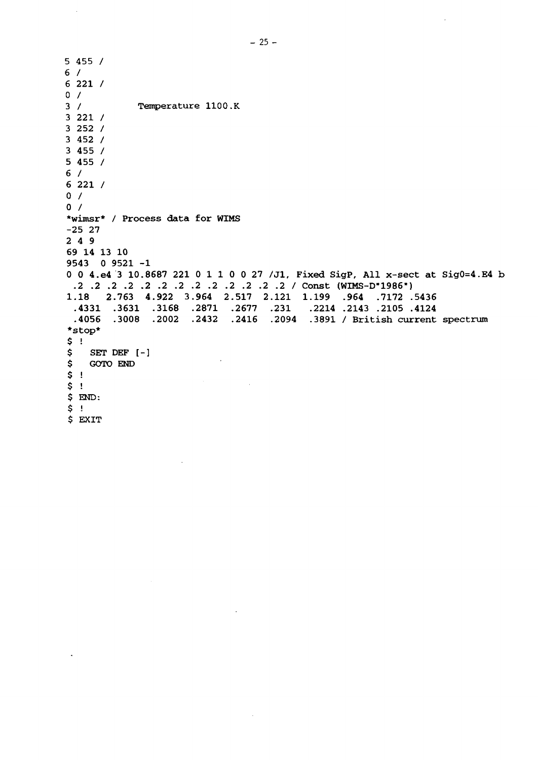5 455 / 6 / 6 221 / 0 /  $3 /$ / Temperature 1100.K 3 221 / 3 252 / 3 452 / 3 455 / 5 455 / 6 / 6 221 / 0 / 0 / \*wimsr\* / Process data for WIMS -25 27 2 4 9 69 14 13 10 9543 0 9521 -1 0 0 4.e4 3 10.8687 221 0 1 1 0 0 27 /J1, Fixed SigP, All x-sect at Sig0=4.E4 b .2 .2 .2 .2 .2 .2 .2 .2 .2 .2 .2 2 .2 / Const (WIMS-D-1986") 1 .18 2.763 4.922 3 .964 2.517 2.121 1.199 .964 .7172 .5436 .4331 .3631 .3168 .2871 .2677 .231 .2214 .2143 .2105 .4124 .4056 .3008 .2002 .2432 .2416 .2094 .3891 / British current spectrum\*stop\* \$ i \$ SET DEF [-]  $\epsilon$ \$ GOTO END \$ ! \$ !  $\sim$ \$ END: \$ ; \$ EXIT

 $\sim$ 

 $\ddot{\phantom{0}}$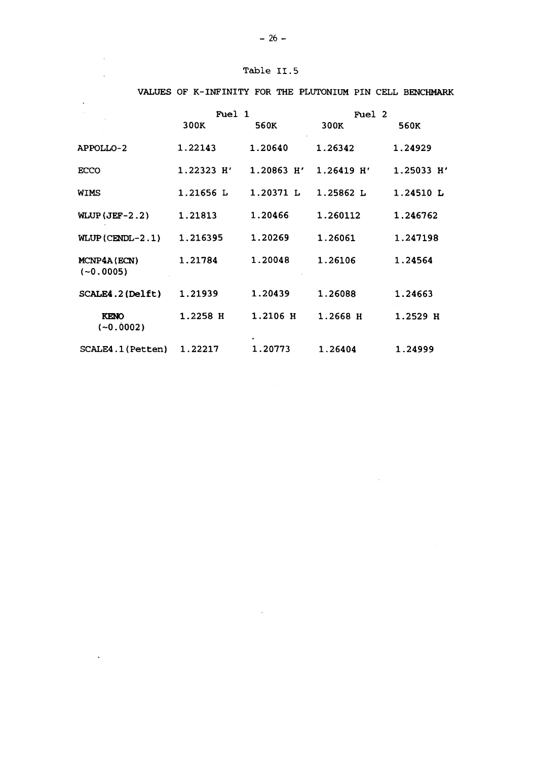| Table II.5 |  |
|------------|--|

 $\mathcal{L}_{\mathcal{A}}$ 

 $\mathcal{A}^{\mathcal{A}}$ 

 $\ddot{\phantom{a}}$ 

|                             | Fuel 1       |              | Fuel 2       |              |
|-----------------------------|--------------|--------------|--------------|--------------|
|                             | 300K         | 560K         | 300K         | 560K         |
| APPOLLO-2                   | 1.22143      | 1.20640      | 1.26342      | 1.24929      |
| <b>ECCO</b>                 | $1.22323$ H' | $1.20863$ H' | $1.26419$ H' | $1.25033$ H' |
| WIMS                        | 1.21656 L    | 1.20371 L    | 1.25862 L    | 1.24510 L    |
| WLUP $(JEF-2.2)$            | 1.21813      | 1.20466      | 1.260112     | 1.246762     |
| WLUP $(CENDL-2.1)$          | 1.216395     | 1.20269      | 1.26061      | 1.247198     |
| MCNP4A (ECN)<br>$(-0.0005)$ | 1.21784      | 1.20048      | 1.26106      | 1.24564      |
| SCALE4.2 (Delft)            | 1.21939      | 1.20439      | 1.26088      | 1.24663      |
| <b>KENO</b><br>$(-0.0002)$  | 1.2258 H     | 1.2106 H     | 1.2668 H     | 1.2529 H     |
| SCALE4.1 (Petten)           | 1.22217      | 1.20773      | 1.26404      | 1.24999      |

#### VALUES OF K-INFINITY FOR THE PLUTONIUM PIN CELL BENCHMARK

 $\sim 10^7$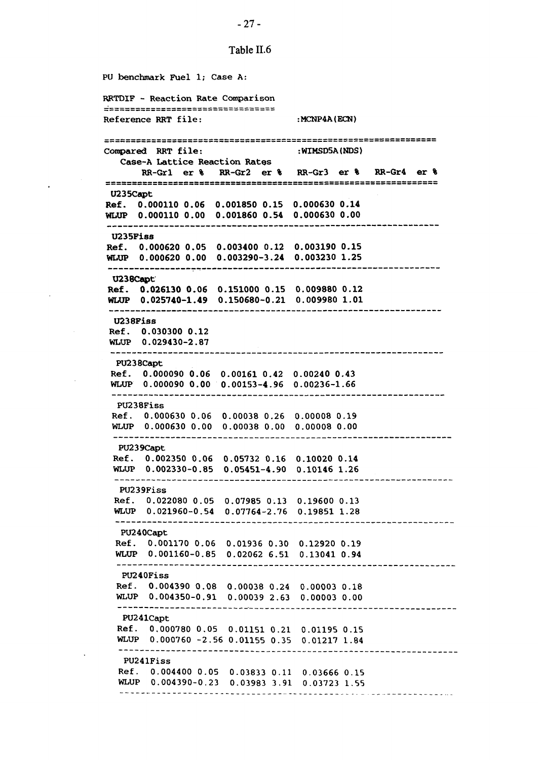**PU benchmark Fuel 1; Case A: RRTDIF - Reaction Rate Comparison** =================================== **Reference RRT file:**  $\qquad \qquad : MCNP4A(ECN)$ :WIMSD5A(NDS) Compared RRT file: Case-A Lattice Reaction Rates RR-Grl er % RR-Gr2 er % RR-Gr3 er RR-Gr4 er U235Capt Ref. 0.000110 0.06 **0.001850** 0.15 **0.000630 0.14** WLUP 0.000110 0.00 **0.001860 0.54 0.000630 0.00 U235Fiss Ref. 0.000620 0.05 0.003400 0,** .12 0.003190 **0.15 WLUP 0.000620 0.00 0.003290-3** .24 0.003230 **1.25 U238Capt Ref. 0.026130 0.06 0.151000 0** .15 0.009880 **0.12 WLUP 0.025740-1.49 0.150680-0** .21 0.009980 **1.01** U238Fiss Ref. 0.030300 0.12 WLUP 0.029430-2.87 PU238Capt Ref. 0.000090 0.06 0.00161 0. 42 0.00240 0 .43 WLUP 0.000090 0.00 0.00153-4. 96 0.00236-1 .66 PU238Fiss Ref. 0.000630 0.06 0.00038 0 .26 0.00008 0 .19 WLUP 0.000630 0.00 0.00038 0.00 0.00008 0.00 PU239Capt Ref. 0.002350 0.06 0.05732 0 .16 0.10020 0.14 WLUP 0.002330-0.85 0.05451-4 .90 0.10146 1.26 PU239Fiss Ref. 0.022080 0.05 0.07985 0 .13 0.19600 1 D.13 WLUP 0.021960-0.54 0.07764-2 .76 0.19851 : **1.28** PU240Capt Ref. 0.001170 0.06 0.01936 0.30 0.12920 0.19 WLUP 0.001160-0.85 0.02062 6.51 0.13041 **0.94** PU240Fiss Ref. 0.004390 0.08 0.00038 ( **3.24** 0.00003 0.18 WLUP 0.004350-0.91 0.00039 : 2.63 0.00003 0.00 PU241Capt Ref. 0.000780 0.05 0.01151 **0.21** 0.01195 0.15 WLUP 0.000760 -2.56 0.01155 0.35 0.01217 **1.84** PU241Fiss Ref. 0.004400 0.05 i 0.03833 **0.11** 0.03666 0.15 WLUP 0.004390-0.2: J 0.03983 **3.91** 0.03723 1.55

#### -27 -

Table II.6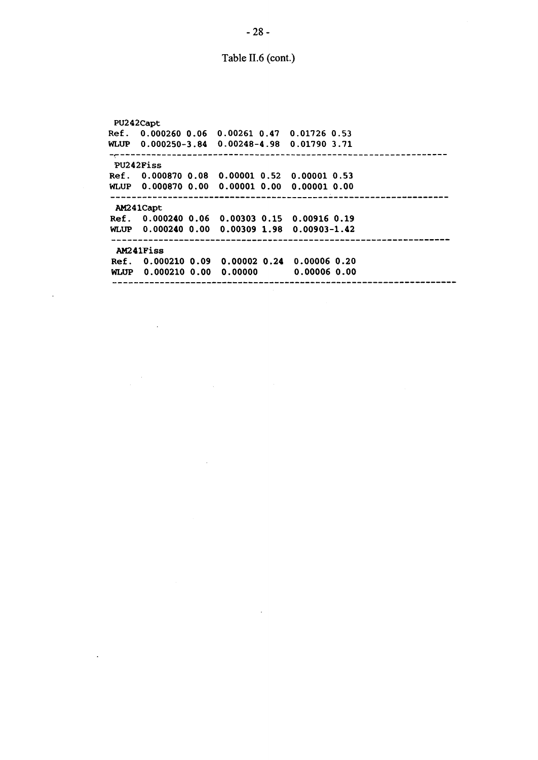Table II.6 (cont.)

**PU242Capt Ref. 0.000260 0.06 0.00261 0.47 0.01726 0.53 WLUP 0.000250-3.84 0.00248-4.98 0.01790 3.71 PU242Fiss Ref. 0.000870 0. 08 0. 00001 0. 52 0. 00001 0. 53 WLUP 0.000870 0. 00 0. 00001 0. 00 0. 00001 0. 00 AM24ICapt Ref. 0.000240 0. .06 0. .00303 0. .15 0. .00916 0. .19 WLUP 0.000240 0. .00 0 .00309 1, .98 0, .00903-1 .42 AM241Fiss Ref. 0.000210 0 .09 0 .00002 0 .24 0 .00006 0 .20 WLUP 0.000210 0 .00 0 .00000 0 .00006 0 .00**

 $\overline{\phantom{a}}$ 

 $\mathbb{R}^2$ 

 $\sim 10^7$ 

 $\frac{1}{\sqrt{2}}\left(\frac{1}{2}\right)^2$ 

 $\ddot{\phantom{a}}$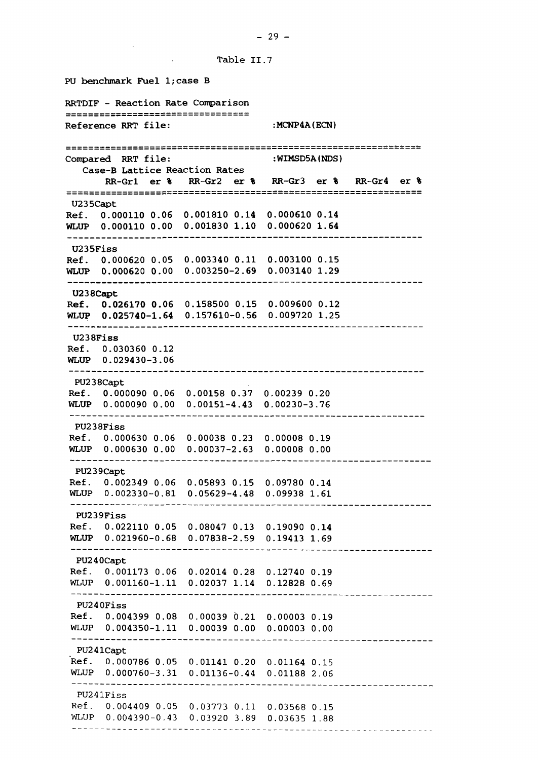**Table II.7**

**PU benchmark Fuel l;case B RRTDIF - Reaction Rate Comparison** ==================================== **Reference RRT file: :MCNP4A(ECN) :WIMSD5A(NDS) Compared RRT file: Case-B Lattice Reaction Rates RR-Grl er % RR-Gr2 er % RR-Gr3 er RR-Gr4 er U235Capt Ref. 0.000110 0.06 0.001810 0.14 0.000610 0.14 WLUP 0.000110 0.00 0.001830 1.10 0.000620 1.64 U235Fiss Ref. 0.000620 0.05 0.003340 0.11 0.003100 0.15 WLUP 0.000620 0.00 0.003250-2.69 0.003140 1.29 U238Capt Ref. 0.026170 0.06 0.158500 0.15 0.009600 0.12 WLUP 0.025740-1.64 0.157610-0.56 0.009720 1.25 U238Fiss Ref. 0.030360 0.12 WLUP 0.029430-3.06 PU238Capt Ref. 0.000090 0.06 0.00158 0.37 0.00239 0.20 WLUP 0.000090 0.00 0.00151-4.43 0.00230-3.76 PU238Fiss Ref. 0.000630 0.06 0.00038 0.23 0.00008 0.19 WLUP 0.000630 0.00 0.00037-2.63 0.00008 0.00** PU239Capt Ref. 0.002349 0.06 **0.05893 0.15 0.09780 0.14** WLUP 0.002330-0.81 **0.05629-4.48 0.09938 1.61 PU239Fiss Ref. 0.022110 0.05 0.08047 0.13 0.19090 0.14 WLUP 0.021960-0.68 0.07838-2.59 0.19413 1.69 PU240Capt Ref. 0.001173** 0.06 **0.02014 0.28 0.12740 0.19 WLUP 0.001160-1.11** 0.02037 **1.14 0.12828** 0.69 **PU240Fiss Ref. 0.004399 0.08** 0.00039 0.21 0.00003 0.19 **WLUP 0.004350-1.11** 0.00039 0.00 0.00003 0.00 **PU241Capt** Ref. 0.000786 0.05 0.01141 0.20 0.01164 0.15 **WLUP** 0.000760-3.31 0.01136-0.44 0.01188 2.06 PU241Fiss Ref. 0.004409 0.05 0.03773 0.11 0.03568 0.15 WLUP 0.004390-0.43 0.03920 3.89 0.03635 1.88

**-** 29 **-**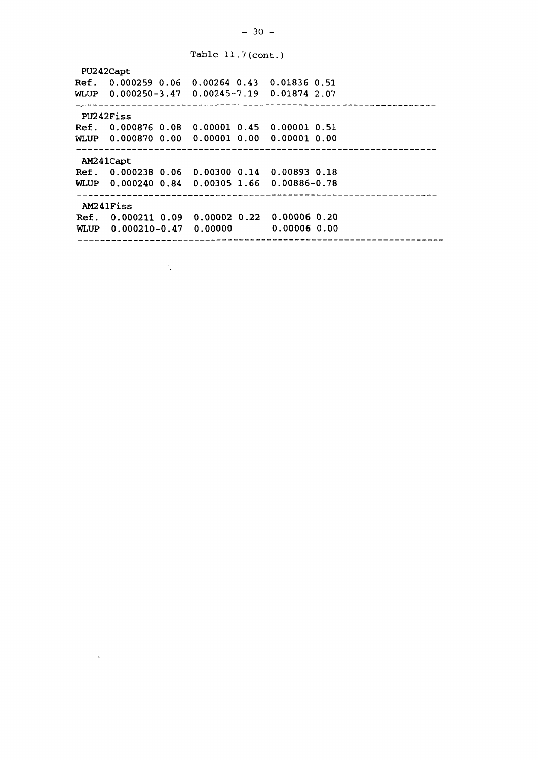Table II.7(cont.) PU242Capt Ref. 0.000259 0.06 0.00264 0.43 0.01836 0.51 WLUP 0.000250-3.47 0.00245-7.19 0.01874 2.07 PU242Fiss Ref. 0.000876 0.08 0.00001 0.45 0.00001 0.51 WLUP 0.000870 0.00 0.00001 0.00 0.00001 0.00 AM241Capt Ref. 0.000238 0.06 0.00300 0.14 0.00893 0.18 WLUP 0.000240 0.84 0.00305 1.66 0.00886-0.78 AM241Fiss Ref. 0.000211 0.09 0.00002 0.22 0.00006 0.20 WLUP 0.000210-0.47 0.00000 0.00006 0.00

 $\mathcal{L}_{\text{max}}$  and  $\mathcal{L}_{\text{max}}$ 

 $\langle \cdot \rangle$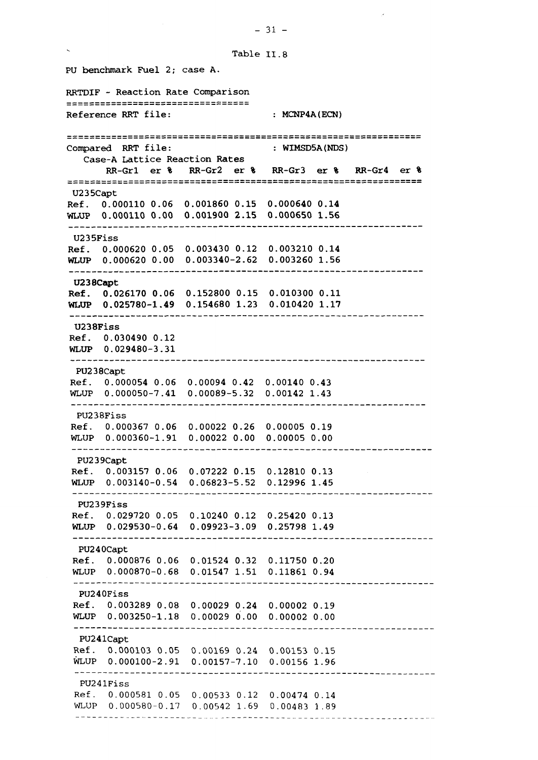PU benchmark Fuel 2; case A. RRTDIF - Reaction Rate Comparison =================================== Reference RRT file: : : : : MCNP4A(ECN) WIMSD5A(NDS) Compared RRT file: Case-A Lattice Reaction Rates RR-Grl er % RR-Gr2 er % RR-Gr3 er RR-Gr4 er U235Capt Ref. 0.000110 0.06 0.001860 0.15 0.000640 **0.14** WLUP 0.000110 0.00 0.001900 2.15 0.000650 1.56 U235Fiss Ref. 0.000620 0.05 0.003430 0.12 0.003210 0.14 WLUP 0.000620 0.00 0.003340-2.62 0.003260 1.56 **U238Capt Ref. 0.026170 0.06** 0.152800 0.15 0.010300 0.11 **WLUP 0.025780-1.49** 0.154680 1.23 0.010420 1.17 U238Fiss Ref. 0.030490 0.12 WLUP 0.029480-3.31 PU238Capt Ref. 0.000054 0.06 0.00094 0.42 0.00140 0.43 WLUP 0.000050-7.41 0.00089-5.32 0.00142 1.43 PU238Fiss Ref. 0.000367 0.06 0.00022 0.26 0.00005 0.19 WLUP 0.000360-1.91 0.00022 0.00 0.00005 0.00 PU239Capt Ref. 0.003157 0.06 0.07222 0.15 0.12810 0.13 WLUP 0.003140-0.54 0.06823-5.52 0.12996 1.45 PU239Fiss Ref. 0.029720 0.05 0.10240 0.12 0.25420 0.13 WLUP 0.029530-0.64 0.09923-3.09 0.25798 1.49 PU240Capt Ref. 0.000876 0.06 0.01524 0.32 0.11750 0.20 WLUP 0.000870-0.68 0.01547 1.51 0.11861 0.94 PU240Fiss Ref. 0.003289 0.08 0.00029 0.24 0.00002 0.19 WLUP 0.003250-1.18 0.00029 0.00 0.00002 0.00 PU24lCapt Ref. 0.000103 0.05 0.00169 0.24 0.00153 0.15 WLUP 0.000100-2.91 0.00157-7.10 0.00156 1.96 PU241Fiss Ref. 0.000581 0.05 0.00533 0.12 0.00474 0.14 WLUP 0.000580-0.17 0.00542 1.69 0.00483 1.89. <u>. . . . . . . . . . . . . . . . .</u> . .

 $-31 -$ 

Table II.8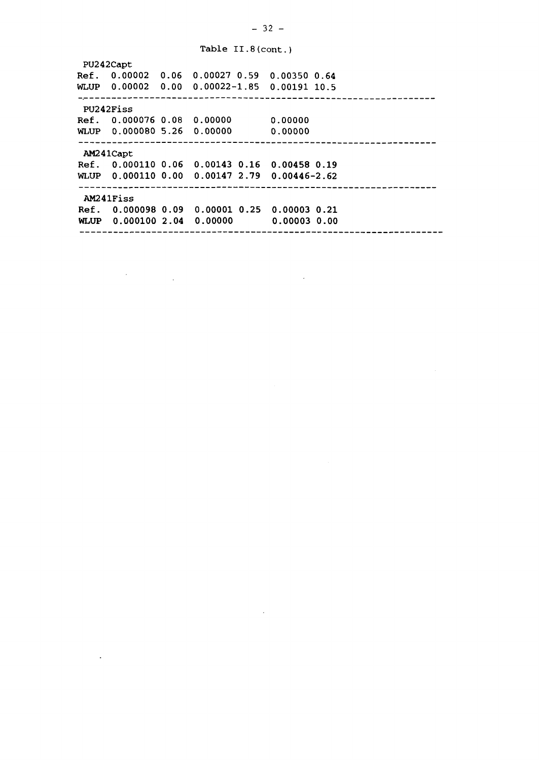#### Table II.8(cont.)

PU242Capt Ref. 0.00002 0.06 0.00027 0.59 0.00350 0.64 WLUP 0.00002 0.00 0.00022-1.85 0.00191 10.5 PU242Fiss Ref. 0.000076 0.08 0.00000 0.00000 WLUP 0.000080 5.26 0.00000 0.00000 AM241Capt Ref. 0.000110 0.06 0.00143 0.16 0.00458 0.19 WLUP 0.000110 0.00 0.00147 2.79 0.00446-2.62 AM241Fiss Ref. 0.000098 0.09 0.00001 0.25 0.00003 0.21 WLUP 0.000100 2.04 0.00000 0.00003 0.00

 $\sim$   $\sim$ 

 $\sim$ 

 $\Delta$ 

 $\sim 1$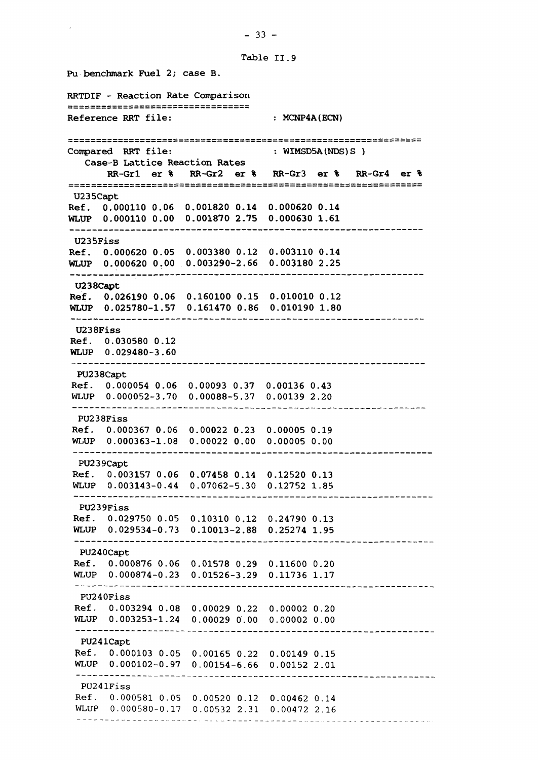**Pu benchmark Fuel 2; case B. RRTDIF - Reaction Rate Comparison** <u> azzszesszerreszerrezzetágozátozta</u> Reference RRT file: : MCNP4A(ECN) **Compared RRT file: : WIMSD5A(NDS)S ) Case-B Lattice Reaction Rates RR-Grl er % RR-Gr2 er % RR-Gr3 er % RR-Gr4 er % U235Capt Ref. 0.000110 0.06 0.001820 0.14 0.000620 0.14 WLUP 0.000110 0.00 0.001870 2.75 0.000630 1.61 U235Fiss Ref. 0.000620 0.05 0.003380 0.12 0.003110 0.14 WLUP 0.000620 0.00 0.003290-2.66 0.003180 2.25 U238Capt Ref. 0.026190 0.06 0.160100 0.15 0.010010 0.12 WLUP 0.025780-1.57 0.161470 0.86 0.010190 1.80 U238Fiss Ref. 0.030580 0.12 WLUP 0.029480-3.60 PU238Capt Ref. 0.000054 0.06 0.00093 0.37 0.00136 0.43 WLUP** 0.000052-3.70 **0.00088-5.37 0.00139** 2.20 **PU238Fiss Ref. 0.000367 0.06 0.00022 0.23 0.00005 0.19 WLUP 0.000363-1.08 0.00022 0.00 0.00005 0.00 PU239Capt Ref. 0.003157 0.06 0.07458 0.14 0.12520 0.13 WLUP 0.003143-0.44 0.07062-5.30 0.12752** 1.85 **PU239Fiss Ref. 0.029750 0.05 0.10310 0.12 0.24790 0.13 WLUP 0.029534-0.73 0.10013-2.88 0.25274 1.95 PU240Capt Ref.** 0.000876 **0.06 0.01578 0.29 0.11600** 0.20 **WLUP** 0.000874-0.23 0.01526-3.29 0.11736 1.17 PU240Fiss Ref. **0.003294** 0.08 0.00029 0.22 0.00002 0.20 **WLUP** 0.003253-1.24 0.00029 0.00 0.00002 0.00 PU24lCapt Ref. 0.000103 0.05 0.00165 0.22 0.00149 0.15 WLUP 0.000102-0.97 0.00154-6.66 0.00152 2.01 PU241Fiss Ref. 0.000581 0.05 0.00520 0.12 0.00462 0.14 WLUP 0.000580-0.17 0.00532 2.31 0.00472 2.16

#### **-** 33 **-**

**Table II. 9**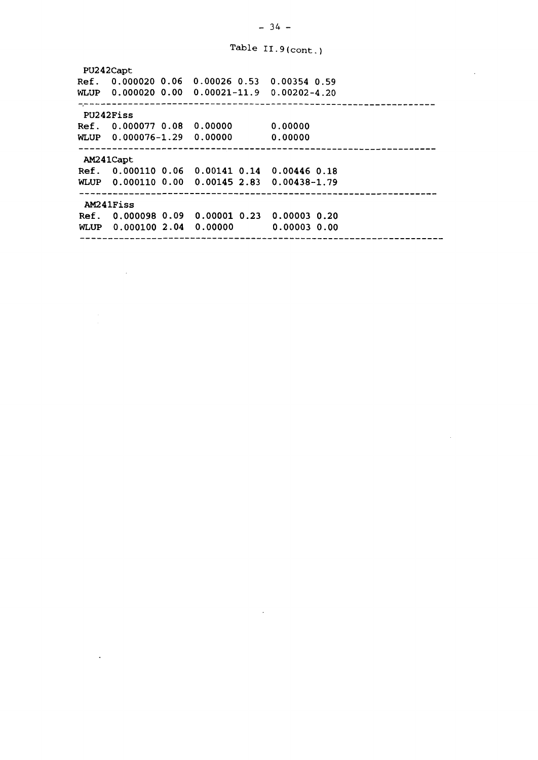Table II.9(cont.)

**PU242Capt Ref. 0.000020 0.06** 0.00026 0.53 0.00354 0.59 **WLUP 0.000020 0.00** 0.00021-11.9 0.00202-4.20 **PU242Fiss Ref. 0.000077 0.08 0.00000 0.00000 WLUP 0.000076-1.29 0.00000 0.00000 AM241Capt Ref. 0.000110 0.06 0.00141 0.14 0.00446 0.18 WLUP 0.000110 0.00 0.00145 2.83 0.00438-1.79 AM24lFiss Ref. 0.000098 0.09 0.00001 0.23 0.00003 0.20 WLUP 0.000100 2.04 0.00000 0.00003 0.00**

 $\mathcal{A}^{\mathcal{A}}$ 

 $\ddot{\phantom{a}}$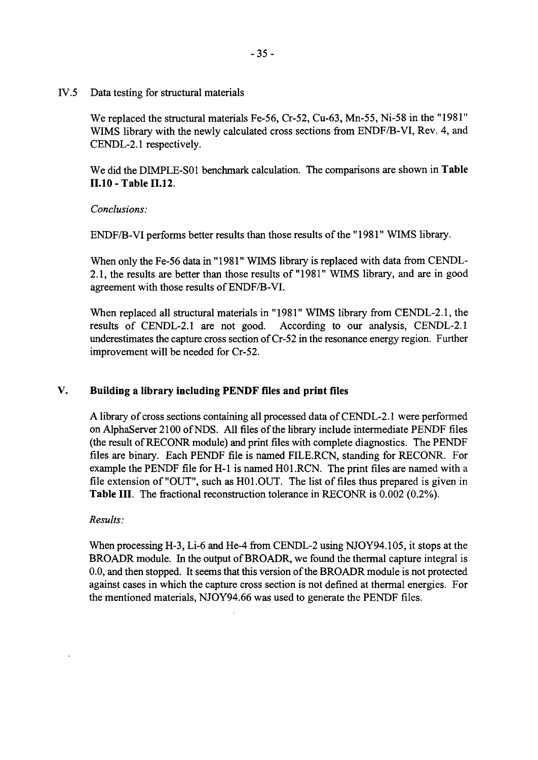IV.5 Data testing for structural materials

We replaced the structural materials Fe-56, Cr-52, Cu-63, Mn-55, Ni-58 in the "1981" WIMS library with the newly calculated cross sections from ENDF/B-VI, Rev. 4, and CENDL-2.1 respectively.

We did the DIMPLE-S01 benchmark calculation. The comparisons are shown in **Table 11.10 - Table 11.12.**

*Conclusions:*

ENDF/B-VI performs better results than those results of the "1981" WIMS library.

When only the Fe-56 data in "1981" WIMS library is replaced with data from CENDL-2.1, the results are better than those results of "1981" WIMS library, and are in good agreement with those results of ENDF/B-VI.

When replaced all structural materials in "1981" WIMS library from CENDL-2.1, the results of CENDL-2.1 are not good. According to our analysis, CENDL-2.1 underestimates the capture cross section of Cr-52 in the resonance energy region. Further improvement will be needed for Cr-52.

### V. **Building a library including PENDF files and print files**

A library of cross sections containing all processed data of CENDL-2.1 were performed on AlphaServer 2100 of NDS. All files of the library include intermediate PENDF files (the result of RECONR module) and print files with complete diagnostics. The PENDF files are binary. Each PENDF file is named FILE.RCN, standing for RECONR. For example the PENDF file for H-l is named H01.RCN. The print files are named with a file extension of "OUT", such as HOI.OUT. The list of files thus prepared is given in **Table III.** The fractional reconstruction tolerance in RECONR is 0.002 (0.2%).

### *Results:*

When processing H-3, Li-6 and He-4 from CENDL-2 using NJOY94.105, it stops at the BROADR module. In the output of BROADR, we found the thermal capture integral is 0.0, and then stopped. It seems that this version of the BROADR module is not protected against cases in which the capture cross section is not defined at thermal energies. For the mentioned materials, NJOY94.66 was used to generate the PENDF files.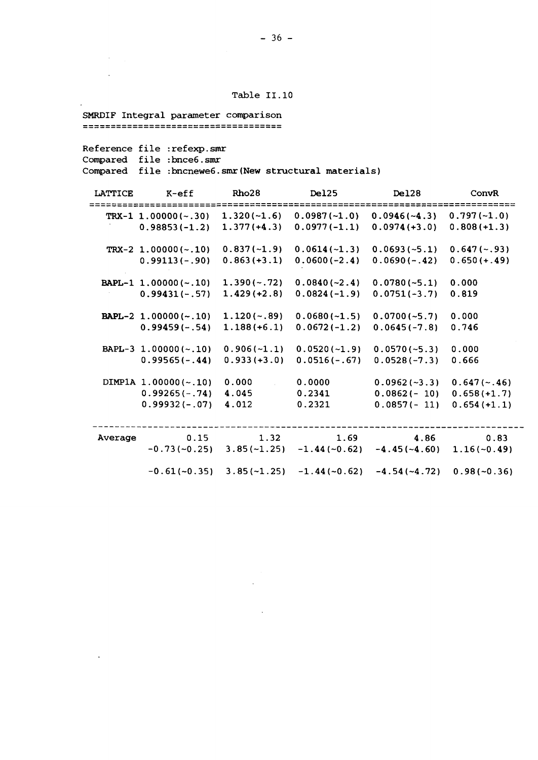#### Table 11.10

SMRDIF Integral parameter comparison

Reference file :refexp.smr

Compared file :bnce6.smr

 $\mathcal{A}^{\mathcal{A}}$  $\mathcal{L}_{\mathcal{A}}$ 

 $\langle \cdot \rangle$ 

Compared file :bncnewe6.smr(New structural materials)

 $\ddot{\phantom{0}}$ 

| LATTICE | $K$ -eff                | Rho28          | Del <sub>25</sub> | Del28           | ConvR          |
|---------|-------------------------|----------------|-------------------|-----------------|----------------|
|         | TRX-1 $1.00000(-.30)$   | $1.320(-1.6)$  | $0.0987(-1.0)$    | $0.0946(-4.3)$  | $0.797(-1.0)$  |
|         | $0.98853(-1.2)$         | $1.377(+4.3)$  | $0.0977(-1.1)$    | $0.0974 (+3.0)$ | $0.808(+1.3)$  |
|         | TRX-2 $1.00000(-.10)$   | $0.837(-1.9)$  | $0.0614(-1.3)$    | $0.0693(-5.1)$  | $0.647(-.93)$  |
|         | $0.99113(-.90)$         | $0.863 (+3.1)$ | $0.0600(-2.4)$    | $0.0690(-.42)$  | $0.650 (+.49)$ |
|         | $BAPL-1$ 1.00000 (~.10) | $1.390(-.72)$  | $0.0840(-2.4)$    | $0.0780(-5.1)$  | 0.000          |
|         | $0.99431(-.57)$         | $1.429 (+2.8)$ | $0.0824(-1.9)$    | $0.0751(-3.7)$  | 0.819          |
|         | BAPL-2 $1.00000(-.10)$  | $1.120(-.89)$  | $0.0680(-1.5)$    | $0.0700(-5.7)$  | 0.000          |
|         | $0.99459(-.54)$         | $1.188(+6.1)$  | $0.0672(-1.2)$    | $0.0645(-7.8)$  | 0.746          |
|         | BAPL-3 $1.00000(-.10)$  | $0.906(-1.1)$  | $0.0520(-1.9)$    | $0.0570(-5.3)$  | 0.000          |
|         | $0.99565(-.44)$         | $0.933 (+3.0)$ | $0.0516(-.67)$    | $0.0528(-7.3)$  | 0.666          |
|         | DIMP1A $1.00000(-.10)$  | 0.000          | 0.0000            | $0.0962(-3.3)$  | $0.647(-.46)$  |
|         | $0.99265(-.74)$         | 4.045          | 0.2341            | $0.0862(-10)$   | $0.658(+1.7)$  |
|         | $0.99932(-.07)$         | 4.012          | 0.2321            | $0.0857(-11)$   | $0.654(+1.1)$  |
|         |                         |                |                   |                 |                |
| Average | 0.15                    | 1.32           | 1.69              | 4.86            | 0.83           |
|         | $-0.73(-0.25)$          | $3.85(-1.25)$  | $-1.44(-0.62)$    | $-4.45(-4.60)$  | $1.16(-0.49)$  |
|         | $-0.61(-0.35)$          | $3.85(-1.25)$  | $-1.44(-0.62)$    | $-4.54(-4.72)$  | $0.98(-0.36)$  |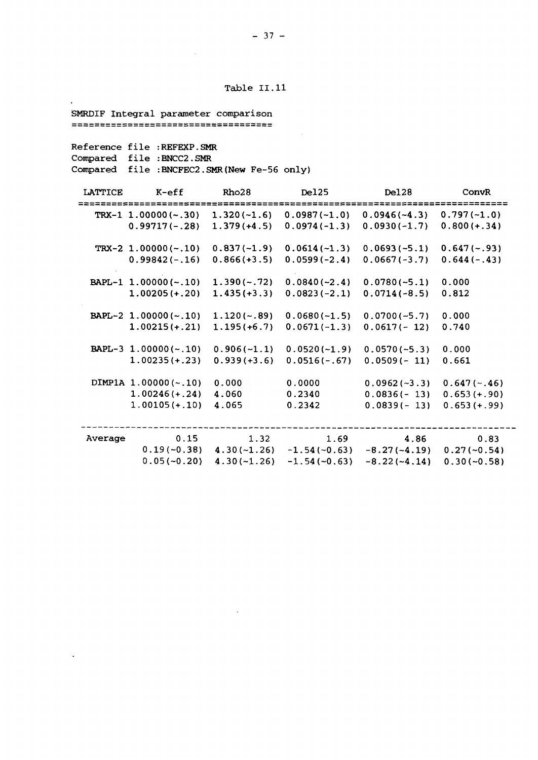Table 11.11

SMRDIF Integral parameter comparison

Reference file :REFEXP.SMR Compared file :BNCC2.SMR Compared file :BNCFEC2.SMR(New Fe-56 only)

| LATTICE | $K$ -eff                       | Rho28         | Del25          | Del28          | ConvR          |
|---------|--------------------------------|---------------|----------------|----------------|----------------|
|         | $TKX-1$ 1.00000 (~.30)         | $1.320(-1.6)$ | $0.0987(-1.0)$ | $0.0946(-4.3)$ | $0.797(-1.0)$  |
|         | $0.99717(-.28)$                | $1.379(+4.5)$ | $0.0974(-1.3)$ | $0.0930(-1.7)$ | $0.800 (+.34)$ |
|         | $TKX-2$ 1.00000 (~.10)         | $0.837(-1.9)$ | $0.0614(-1.3)$ | $0.0693(-5.1)$ | $0.647(-.93)$  |
|         | $0.99842(-.16)$                | $0.866(+3.5)$ | $0.0599(-2.4)$ | $0.0667(-3.7)$ | $0.644(-.43)$  |
|         | BAPL-1 1.00000(~.10)           | $1.390(-.72)$ | $0.0840(-2.4)$ | $0.0780(-5.1)$ | 0.000          |
|         | $1.00205 (+.20)$               | $1.435(+3.3)$ | $0.0823(-2.1)$ | $0.0714(-8.5)$ | 0.812          |
|         | BAPL-2 $1.00000(-.10)$         | $1.120(-.89)$ | $0.0680(-1.5)$ | $0.0700(-5.7)$ | 0.000          |
|         | $1.00215 (+.21)$               | $1.195(+6.7)$ | $0.0671(-1.3)$ | $0.0617(-12)$  | 0.740          |
|         | BAPL-3 $1.00000(-.10)$         | $0.906(-1.1)$ | $0.0520(-1.9)$ | $0.0570(-5.3)$ | 0.000          |
|         | $1.00235 (+.23)$               | $0.939(+3.6)$ | $0.0516(-.67)$ | $0.0509(-11)$  | 0.661          |
|         | DIMP1A $1.00000$ ( $\sim$ .10) | 0.000         | 0.0000         | $0.0962(-3.3)$ | $0.647(-.46)$  |
|         | $1.00246 (+.24)$               | 4.060         | 0.2340         | $0.0836(-13)$  | $0.653 (+.90)$ |
|         | $1.00105 (+.10)$               | 4.065         | 0.2342         | $0.0839(-13)$  | $0.653 (+.99)$ |
|         |                                |               |                |                |                |
| Average | 0.15                           | 1.32          | 1.69           | 4.86           | 0.83           |
|         | $0.19(-0.38)$                  | $4.30(-1.26)$ | $-1.54(-0.63)$ | $-8.27(-4.19)$ | $0.27(-0.54)$  |
|         | $0.05(-0.20)$                  | $4.30(-1.26)$ | $-1.54(-0.63)$ | $-8.22(-4.14)$ | $0.30(-0.58)$  |

 $\ddot{\phantom{0}}$ 

 $\ddot{\phantom{a}}$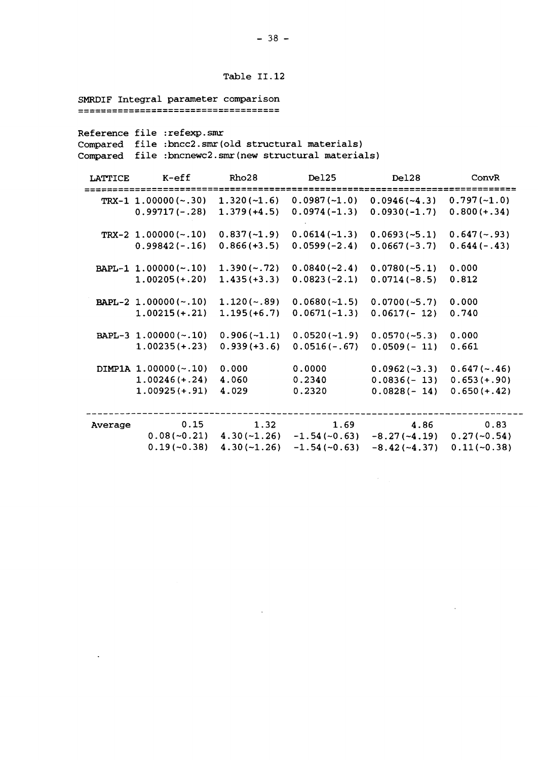```
Table 11.12
```
SMRDIF Integral parameter comparison

 $\ddot{\phantom{a}}$ 

Reference file :refexp.smr Compared file :bncc2.smr(old structural materials) Compared file :bncnewc2.smr(new structural materials)

| LATTICE | $K$ -e $ff$             | Rho28          | Del25          | Del28          | ConvR          |
|---------|-------------------------|----------------|----------------|----------------|----------------|
|         | $TKX-1$ 1.00000 (~.30)  | $1.320(-1.6)$  | $0.0987(-1.0)$ | $0.0946(-4.3)$ | $0.797(-1.0)$  |
|         | $0.99717(-.28)$         | $1.379(+4.5)$  | $0.0974(-1.3)$ | $0.0930(-1.7)$ | $0.800 (+.34)$ |
|         | TRX-2 $1.00000(-.10)$   | $0.837(-1.9)$  | $0.0614(-1.3)$ | $0.0693(-5.1)$ | $0.647(-.93)$  |
|         | $0.99842(-.16)$         | $0.866(+3.5)$  | $0.0599(-2.4)$ | $0.0667(-3.7)$ | $0.644(-.43)$  |
|         | $BAPL-1$ 1.00000 (~.10) | $1.390(-.72)$  | $0.0840(-2.4)$ | $0.0780(-5.1)$ | 0.000          |
|         | $1.00205 (+.20)$        | $1.435(+3.3)$  | $0.0823(-2.1)$ | $0.0714(-8.5)$ | 0.812          |
|         | BAPL-2 $1.00000(-.10)$  | $1.120(-.89)$  | $0.0680(-1.5)$ | $0.0700(-5.7)$ | 0.000          |
|         | $1.00215 (+.21)$        | $1.195(+6.7)$  | $0.0671(-1.3)$ | $0.0617(-12)$  | 0.740          |
|         | BAPL-3 1.00000 (~.10)   | $0.906(-1.1)$  | $0.0520(-1.9)$ | $0.0570(-5.3)$ | 0.000          |
|         | $1.00235(+.23)$         | $0.939 (+3.6)$ | $0.0516(-.67)$ | $0.0509(-11)$  | 0.661          |
|         | $DIMPIA 1.00000(-.10)$  | 0.000          | 0.0000         | $0.0962(-3.3)$ | $0.647(-.46)$  |
|         | $1.00246 (+.24)$        | 4.060          | 0.2340         | $0.0836(-13)$  | $0.653(+.90)$  |
|         | $1.00925 (+.91)$        | 4.029          | 0.2320         | $0.0828(-14)$  | $0.650 (+.42)$ |
|         |                         |                |                |                |                |
| Average | 0.15                    | 1.32           | 1.69           | 4.86           | 0.83           |
|         | $0.08(-0.21)$           | $4.30(-1.26)$  | $-1.54(-0.63)$ | $-8.27(-4.19)$ | $0.27(-0.54)$  |
|         | $0.19(-0.38)$           | $4.30(-1.26)$  | $-1.54(-0.63)$ | $-8.42(-4.37)$ | $0.11(-0.38)$  |

 $\hat{\mathcal{A}}$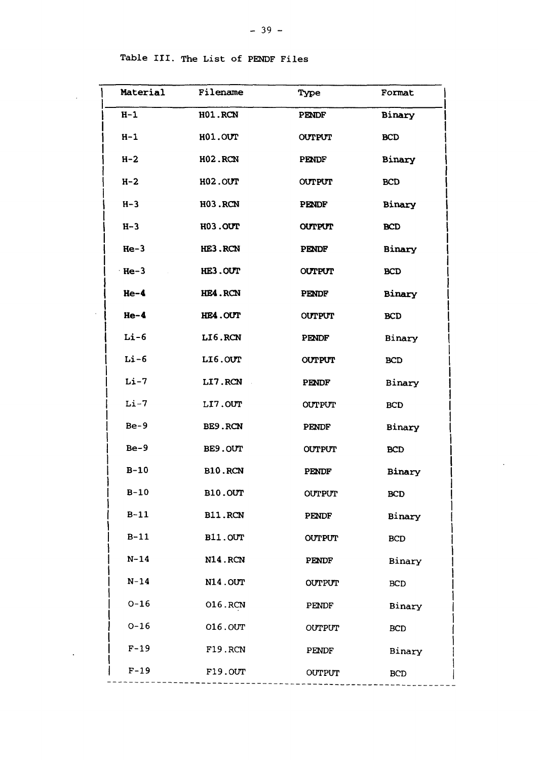$\overline{1}$ 

| Material | Filename       | Type          | Format     |
|----------|----------------|---------------|------------|
| $H-1$    | <b>H01.RCN</b> | PENDF         | Binary     |
| $H-1$    | H01.OUT        | <b>OUTPUT</b> | <b>BCD</b> |
| $H - 2$  | <b>H02.RCN</b> | PENDF         | Binary     |
| $H-2$    | H02.OUT        | <b>OUTPUT</b> | <b>BCD</b> |
| $H-3$    | <b>H03.RCN</b> | <b>PENDF</b>  | Binary     |
| $H-3$    | H03.OUT        | <b>OUTPUT</b> | <b>BCD</b> |
| $He-3$   | HE3.RCN        | <b>PENDF</b>  | Binary     |
| $He-3$   | HE3.OUT        | <b>OUTPUT</b> | <b>BCD</b> |
| $He-4$   | HE4.RCN        | <b>PENDF</b>  | Binary     |
| $He-4$   | HE4.OUT        | <b>OUTPUT</b> | <b>BCD</b> |
| $Li-6$   | LI6.RCN        | PENDF         | Binary     |
| $Li-6$   | LI6.OUT        | <b>OUTPUT</b> | <b>BCD</b> |
| $Li-7$   | LI7.RCN        | <b>PENDF</b>  | Binary     |
| $Li-7$   | LI7.OUT        | <b>OUTPUT</b> | <b>BCD</b> |
| $Be-9$   | BE9.RCN        | PENDF         | Binary     |
| $Be-9$   | BE9.OUT        | <b>OUTPUT</b> | <b>BCD</b> |
| $B-10$   | <b>B10.RCN</b> | <b>PENDF</b>  | Binary     |
| $B-10$   | <b>B10.0UT</b> | <b>OUTPUT</b> | <b>BCD</b> |
| $B-11$   | B11.RCN        | <b>PENDF</b>  | Binary     |
| $B-11$   | <b>B11.OUT</b> | <b>OUTPUT</b> | <b>BCD</b> |
| $N - 14$ | <b>N14.RCN</b> | PENDF         | Binary     |
| $N-14$   | <b>N14.0UT</b> | <b>OUTPUT</b> | <b>BCD</b> |
| $0 - 16$ | 016.RCN        | PENDF         | Binary     |
| $O-16$   | 016.0UT        | OUTPUT        | <b>BCD</b> |
| $F-19$   | F19.RCN        | PENDF         | Binary     |
| $F-19$   | F19.OUT        | OUTPUT        | <b>BCD</b> |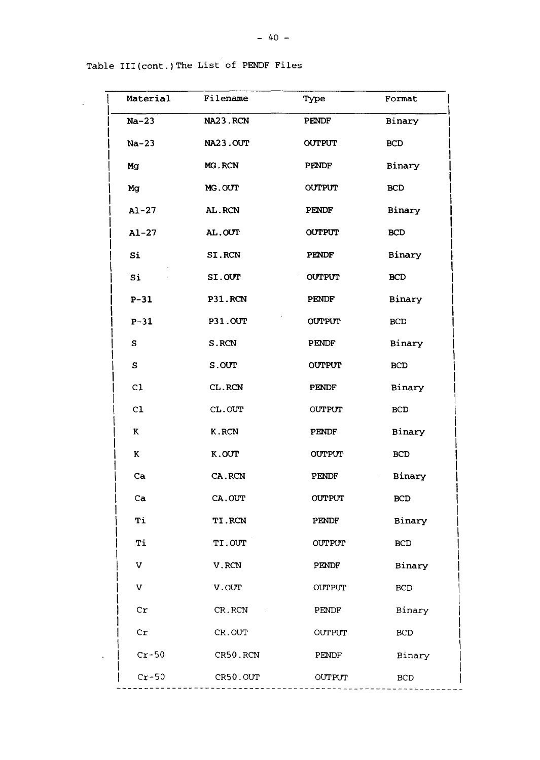| Material     | Filename       | Type          | Format               |
|--------------|----------------|---------------|----------------------|
| $Na-23$      | NA23.RCN       | <b>PENDF</b>  | Binary               |
| $Na-23$      | NA23.OUT       | <b>OUTPUT</b> | <b>BCD</b>           |
| Mg           | MG.RCN         | PENDF         | Binary               |
| Mg           | MG.OUT         | <b>OUTPUT</b> | <b>BCD</b>           |
| $A1 - 27$    | AL.RCN         | PENDF         | Binary               |
| $A1 - 27$    | AL.OUT         | <b>OUTPUT</b> | <b>BCD</b>           |
| Si           | SI.RCN         | <b>PENDF</b>  | Binary               |
| Si           | SI.OUT         | <b>OUTPUT</b> | <b>BCD</b>           |
| $P-31$       | P31.RCN        | <b>PENDF</b>  | Binary               |
| $P-31$       | <b>P31.OUT</b> | <b>OUTPUT</b> | <b>BCD</b>           |
| $\mathbf{s}$ | S.RCN          | PENDF         | Binary               |
| $\mathbf{s}$ | S.OUT          | <b>OUTPUT</b> | <b>BCD</b>           |
| C1           | CL.RCN         | PENDF         | Binary               |
| C1           | CL.OUT         | <b>OUTPUT</b> | <b>BCD</b>           |
| K            | K.RCN          | PENDF         | Binary               |
| K            | K.OUT          | <b>OUTPUT</b> | <b>BCD</b>           |
| Ca           | CA.RCN         | PENDF         | Binary<br>$\epsilon$ |
| Ca           | CA.OUT         | <b>OUTPUT</b> | <b>BCD</b>           |
| Тi           | TI.RCN         | PENDF         | Binary               |
| Ti           | TI.OUT         | <b>OUTPUT</b> | BCD                  |
| $\mathbf V$  | V.RCN          | PENDF         | Binary               |
| $\mathbf v$  | V.OUT          | <b>OUTPUT</b> | BCD                  |
| cr           | CR.RCN         | PENDF         | Binary               |
| cr           | CR.OUT         | <b>OUTPUT</b> | <b>BCD</b>           |
| $Cr-50$      | CR50.RCN       | PENDF         | Binary               |
| $Cr-50$      | CR50.OUT       | <b>OUTPUT</b> | <b>BCD</b>           |

 $\ddot{\phantom{a}}$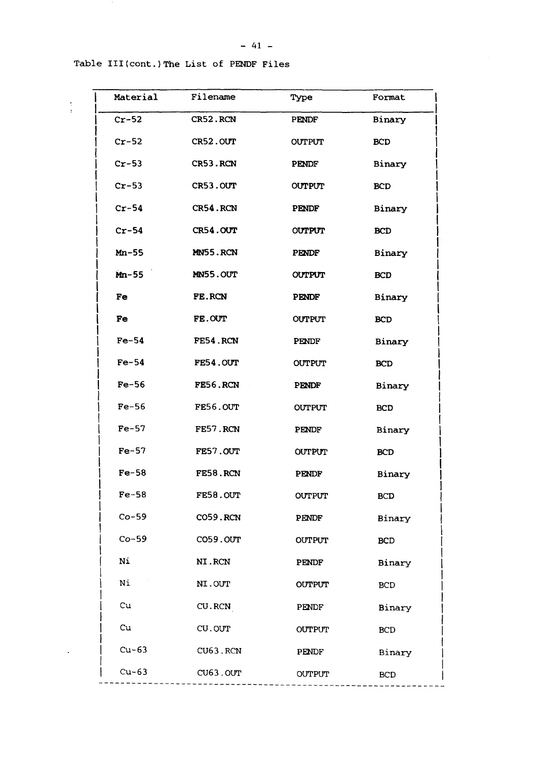## Table III(cont.) The List of PENDF Files

 $\frac{1}{2}$ 

 $\mathbf{A}^{\mathrm{max}}$ 

| Filename | Type          | Format     |
|----------|---------------|------------|
| CR52.RCN | PENDF         | Binary     |
| CR52.OUT | <b>OUTPUT</b> | <b>BCD</b> |
| CR53.RCN | PENDF         | Binary     |
| CR53.OUT | <b>OUTPUT</b> | <b>BCD</b> |
| CR54.RCN | PENDF         | Binary     |
| CR54.OUT | <b>OUTPUT</b> | <b>BCD</b> |
| MN55.RCN | PENDF         | Binary     |
| MN55.OUT | <b>OUTPUT</b> | <b>BCD</b> |
| FE.RCN   | PENDF         | Binary     |
| FE.OUT   | <b>OUTPUT</b> | <b>BCD</b> |
| FE54.RCN | PENDF         | Binary     |
| FE54.OUT | <b>OUTPUT</b> | <b>BCD</b> |
| FE56.RCN | PENDF         | Binary     |
| FE56.OUT | <b>OUTPUT</b> | <b>BCD</b> |
| FE57.RCN | PENDF         | Binary     |
| FE57.OUT | OUTPUT        | <b>BCD</b> |
| FE58.RCN | PENDF         | Binary     |
| FE58.OUT | <b>OUTPUT</b> | <b>BCD</b> |
| CO59.RCN | PENDF         | Binary     |
| CO59.OUT | <b>OUTPUT</b> | BCD        |
| NI.RCN   | PENDF         | Binary     |
| NI.OUT   | <b>OUTPUT</b> | <b>BCD</b> |
| CU.RCN   | PENDF         | Binary     |
| CU.OUT   | <b>OUTPUT</b> | <b>BCD</b> |
| CU63.RCN | PENDF         | Binary     |
| CU63.OUT | <b>OUTPUT</b> | <b>BCD</b> |
|          |               |            |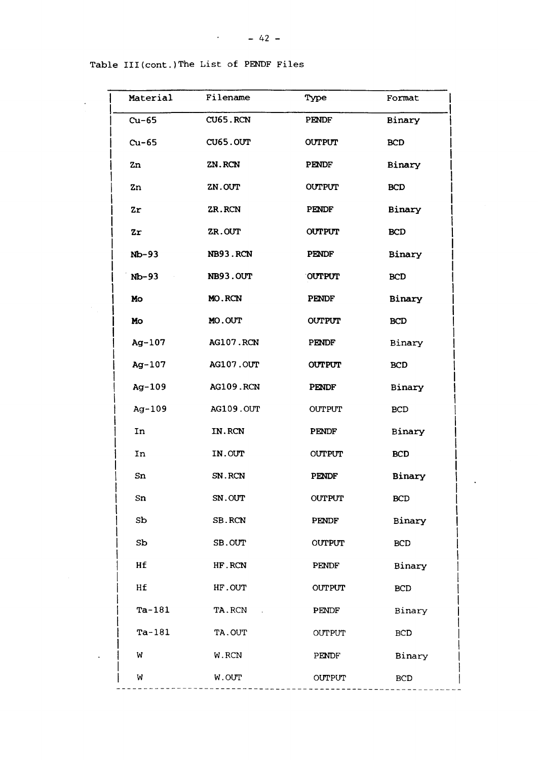| Material       | Filename  | Type          | Format     |
|----------------|-----------|---------------|------------|
| $Cu-65$        | CU65.RCN  | PENDF         | Binary     |
| $Cu-65$        | CU65.OUT  | <b>OUTPUT</b> | <b>BCD</b> |
| Zn             | ZN.RCN    | <b>PENDF</b>  | Binary     |
| Zn             | ZN.OUT    | <b>OUTPUT</b> | <b>BCD</b> |
| $z_{r}$        | ZR.RCN    | PENDF         | Binary     |
| Zr             | ZR.OUT    | <b>OUTPUT</b> | <b>BCD</b> |
| $Nb-93$        | NB93.RCN  | <b>PENDF</b>  | Binary     |
| $Nb-93$        | NB93.OUT  | <b>OUTPUT</b> | <b>BCD</b> |
| Mo             | MO.RCN    | <b>PENDF</b>  | Binary     |
| Mo             | MO.OUT    | <b>OUTPUT</b> | <b>BCD</b> |
| $Ag-107$       | AG107.RCN | <b>PENDF</b>  | Binary     |
| $Ag-107$       | AG107.OUT | <b>OUTPUT</b> | <b>BCD</b> |
| $Ag-109$       | AG109.RCN | <b>PENDF</b>  | Binary     |
| $Ag-109$       | AG109.OUT | <b>OUTPUT</b> | <b>BCD</b> |
| In             | IN.RCN    | <b>PENDF</b>  | Binary     |
| In             | IN.OUT    | <b>OUTPUT</b> | <b>BCD</b> |
| Sn             | SN.RCN    | <b>PENDF</b>  | Binary     |
| Sn             | SN.OUT    | <b>OUTPUT</b> | <b>BCD</b> |
| S <sub>b</sub> | SB.RCN    | <b>PENDF</b>  | Binary     |
| S <sub>b</sub> | SB.OUT    | <b>OUTPUT</b> | <b>BCD</b> |
| Hf             | HF.RCN    | PENDF         | Binary     |
| Hf             | HF.OUT    | <b>OUTPUT</b> | <b>BCD</b> |
| $Ta-181$       | TA.RCN    | PENDF         | Binary     |
| $Ta-181$       | TA.OUT    | <b>OUTPUT</b> | <b>BCD</b> |
| W              | W.RCN     | PENDF         | Binary     |
| W              | W.OUT     | OUTPUT        | <b>BCD</b> |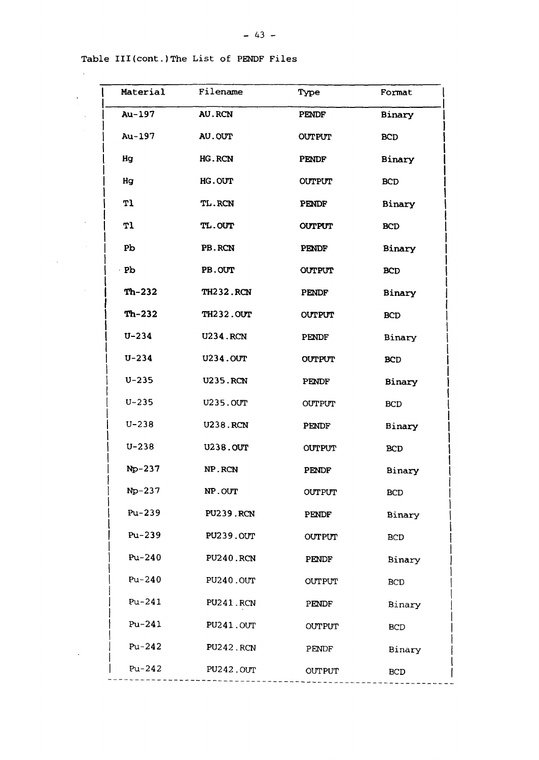$\sim$ 

 $\ddot{\phantom{0}}$ 

| Material  | Filename         | Type          | Format     |
|-----------|------------------|---------------|------------|
| Au-197    | <b>AU.RCN</b>    | <b>PENDF</b>  | Binary     |
| Au-197    | AU.OUT           | <b>OUTPUT</b> | <b>BCD</b> |
| Hg        | HG.RCN           | PENDF         | Binary     |
| Hg        | HG.OUT           | <b>OUTPUT</b> | <b>BCD</b> |
| T1        | TL.RCN           | PENDF         | Binary     |
| T1        | <b>TL.OUT</b>    | <b>OUTPUT</b> | <b>BCD</b> |
| <b>Pp</b> | PB.RCN           | PENDF         | Binary     |
| Pb        | PB.OUT           | <b>OUTPUT</b> | <b>BCD</b> |
| Th-232    | <b>TH232.RCN</b> | <b>PENDF</b>  | Binary     |
| $Th-232$  | <b>TH232.0UT</b> | <b>OUTPUT</b> | <b>BCD</b> |
| $U - 234$ | <b>U234.RCN</b>  | <b>PENDF</b>  | Binary     |
| $U - 234$ | <b>U234.0UT</b>  | <b>OUTPUT</b> | <b>BCD</b> |
| $U - 235$ | <b>U235.RCN</b>  | PENDF         | Binary     |
| $U - 235$ | <b>U235.0UT</b>  | <b>OUTPUT</b> | <b>BCD</b> |
| $U - 238$ | <b>U238.RCN</b>  | <b>PENDF</b>  | Binary     |
| $U - 238$ | <b>U238.0UT</b>  | <b>OUTPUT</b> | <b>BCD</b> |
| $Np-237$  | NP.RCN           | <b>PENDF</b>  | Binary     |
| $Np-237$  | NP.OUT           | OUTPUT        | <b>BCD</b> |
| $Pu-239$  | <b>PU239.RCN</b> | PENDF         | Binary     |
| $Pu-239$  | <b>PU239.0UT</b> | OUTPUT        | <b>BCD</b> |
| $Pu-240$  | <b>PU240.RCN</b> | PENDF         | Binary     |
| Pu-240    | PU240.0UT        | <b>OUTPUT</b> | <b>BCD</b> |
| $Pu-241$  | <b>PU241.RCN</b> | PENDF         | Binary     |
| $Pu-241$  | <b>PU241.0UT</b> | <b>OUTPUT</b> | <b>BCD</b> |
| $Pu-242$  | PU242.RCN        | PENDF         | Binary     |
| $Pu-242$  | PU242.0UT        | <b>OUTPUT</b> | <b>BCD</b> |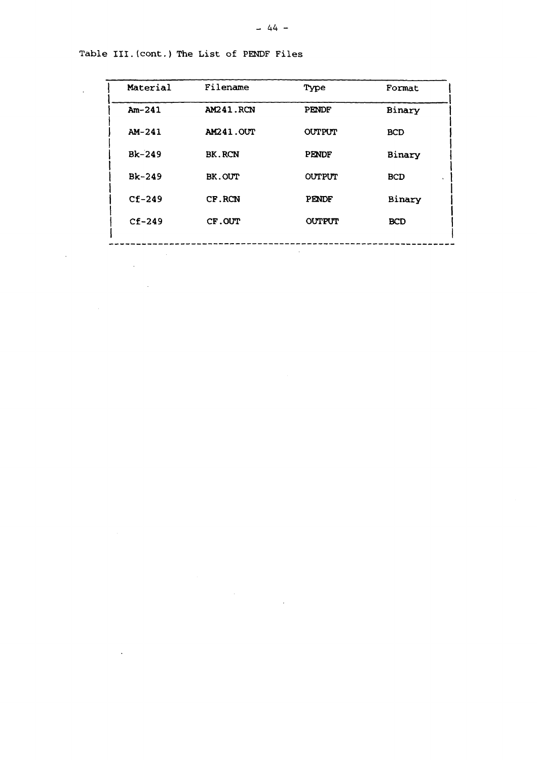| Material     | Filename         | Type          | Format     |
|--------------|------------------|---------------|------------|
| $Am-241$     | <b>AM241.RCN</b> | <b>PENDF</b>  | Binary     |
| AM-241       | AM241.OUT        | <b>OUTPUT</b> | <b>BCD</b> |
| $Bk-249$     | <b>BK.RCN</b>    | <b>PENDF</b>  | Binary     |
| $Bk-249$     | BK.OUT           | <b>OUTPUT</b> | <b>BCD</b> |
| $CF-249$     | CF.RCN           | <b>PENDF</b>  | Binary     |
| $C_{E}$ -249 | CF.OUT           | <b>OUTPUT</b> | <b>BCD</b> |
|              |                  |               |            |

 $\mathcal{L}^{\text{max}}_{\text{max}}$ 

 $\mathcal{L}_{\mathcal{A}}$ 

Table III.(cont.) The List of PENDF Files

 $\mathcal{L}^{\text{max}}$ 

 $\mathcal{L}_{\text{max}}$ 

 $\label{eq:2.1} \frac{1}{\sqrt{2\pi}}\frac{1}{\sqrt{2\pi}}\frac{1}{\sqrt{2\pi}}\frac{1}{\sqrt{2\pi}}\frac{1}{\sqrt{2\pi}}\frac{1}{\sqrt{2\pi}}\frac{1}{\sqrt{2\pi}}\frac{1}{\sqrt{2\pi}}\frac{1}{\sqrt{2\pi}}\frac{1}{\sqrt{2\pi}}\frac{1}{\sqrt{2\pi}}\frac{1}{\sqrt{2\pi}}\frac{1}{\sqrt{2\pi}}\frac{1}{\sqrt{2\pi}}\frac{1}{\sqrt{2\pi}}\frac{1}{\sqrt{2\pi}}\frac{1}{\sqrt{2\pi}}\frac{1}{\sqrt$ 

 $\mathcal{L}^{\text{max}}_{\text{max}}$